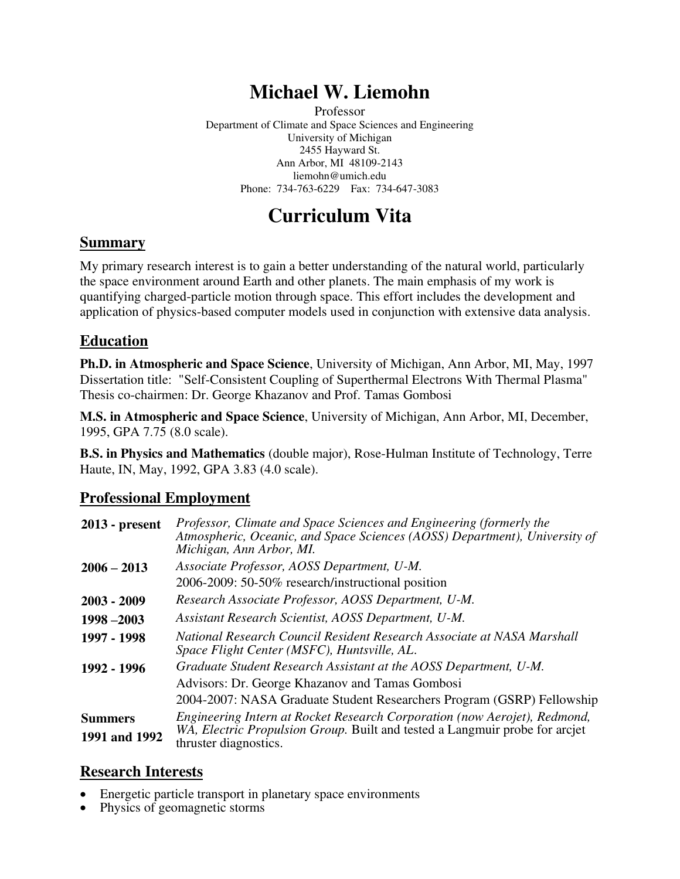# **Michael W. Liemohn**

Professor Department of Climate and Space Sciences and Engineering University of Michigan 2455 Hayward St. Ann Arbor, MI 48109-2143 liemohn@umich.edu Phone: 734-763-6229 Fax: 734-647-3083

# **Curriculum Vita**

#### **Summary**

My primary research interest is to gain a better understanding of the natural world, particularly the space environment around Earth and other planets. The main emphasis of my work is quantifying charged-particle motion through space. This effort includes the development and application of physics-based computer models used in conjunction with extensive data analysis.

#### **Education**

**Ph.D. in Atmospheric and Space Science**, University of Michigan, Ann Arbor, MI, May, 1997 Dissertation title: "Self-Consistent Coupling of Superthermal Electrons With Thermal Plasma" Thesis co-chairmen: Dr. George Khazanov and Prof. Tamas Gombosi

**M.S. in Atmospheric and Space Science**, University of Michigan, Ann Arbor, MI, December, 1995, GPA 7.75 (8.0 scale).

**B.S. in Physics and Mathematics** (double major), Rose-Hulman Institute of Technology, Terre Haute, IN, May, 1992, GPA 3.83 (4.0 scale).

#### **Professional Employment**

| $2013$ - present | Professor, Climate and Space Sciences and Engineering (formerly the<br>Atmospheric, Oceanic, and Space Sciences (AOSS) Department), University of<br>Michigan, Ann Arbor, MI. |
|------------------|-------------------------------------------------------------------------------------------------------------------------------------------------------------------------------|
| $2006 - 2013$    | Associate Professor, AOSS Department, U-M.                                                                                                                                    |
|                  | 2006-2009: 50-50% research/instructional position                                                                                                                             |
| $2003 - 2009$    | Research Associate Professor, AOSS Department, U-M.                                                                                                                           |
| $1998 - 2003$    | Assistant Research Scientist, AOSS Department, U-M.                                                                                                                           |
| 1997 - 1998      | National Research Council Resident Research Associate at NASA Marshall<br>Space Flight Center (MSFC), Huntsville, AL.                                                         |
| 1992 - 1996      | Graduate Student Research Assistant at the AOSS Department, U-M.                                                                                                              |
|                  | Advisors: Dr. George Khazanov and Tamas Gombosi                                                                                                                               |
|                  | 2004-2007: NASA Graduate Student Researchers Program (GSRP) Fellowship                                                                                                        |
| <b>Summers</b>   | Engineering Intern at Rocket Research Corporation (now Aerojet), Redmond,                                                                                                     |
| 1991 and 1992    | WA, Electric Propulsion Group. Built and tested a Langmuir probe for arcjet<br>thruster diagnostics.                                                                          |

#### **Research Interests**

- Energetic particle transport in planetary space environments
- Physics of geomagnetic storms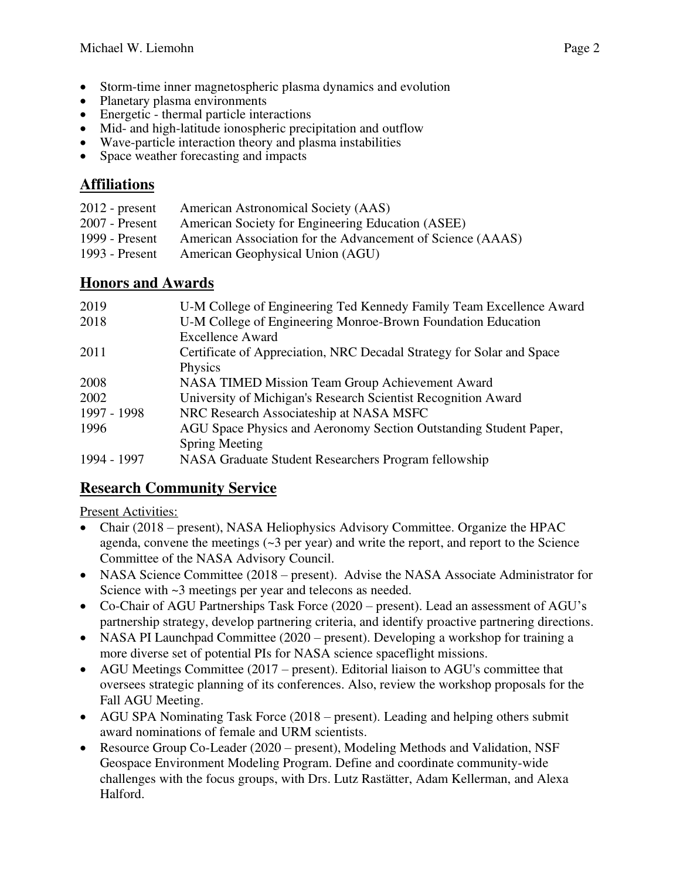- Storm-time inner magnetospheric plasma dynamics and evolution
- Planetary plasma environments
- Energetic thermal particle interactions
- Mid- and high-latitude ionospheric precipitation and outflow
- Wave-particle interaction theory and plasma instabilities
- Space weather forecasting and impacts

### **Affiliations**

| $2012$ - present | American Astronomical Society (AAS)                        |
|------------------|------------------------------------------------------------|
| $2007$ - Present | American Society for Engineering Education (ASEE)          |
| 1999 - Present   | American Association for the Advancement of Science (AAAS) |
| 1993 - Present   | American Geophysical Union (AGU)                           |

### **Honors and Awards**

| 2019        | U-M College of Engineering Ted Kennedy Family Team Excellence Award   |
|-------------|-----------------------------------------------------------------------|
| 2018        | U-M College of Engineering Monroe-Brown Foundation Education          |
|             | <b>Excellence Award</b>                                               |
| 2011        | Certificate of Appreciation, NRC Decadal Strategy for Solar and Space |
|             | Physics                                                               |
| 2008        | <b>NASA TIMED Mission Team Group Achievement Award</b>                |
| 2002        | University of Michigan's Research Scientist Recognition Award         |
| 1997 - 1998 | NRC Research Associateship at NASA MSFC                               |
| 1996        | AGU Space Physics and Aeronomy Section Outstanding Student Paper,     |
|             | <b>Spring Meeting</b>                                                 |
| 1994 - 1997 | NASA Graduate Student Researchers Program fellowship                  |

### **Research Community Service**

Present Activities:

- Chair (2018 present), NASA Heliophysics Advisory Committee. Organize the HPAC agenda, convene the meetings  $(\sim 3$  per year) and write the report, and report to the Science Committee of the NASA Advisory Council.
- NASA Science Committee (2018 present). Advise the NASA Associate Administrator for Science with  $\sim$ 3 meetings per year and telecons as needed.
- Co-Chair of AGU Partnerships Task Force (2020 present). Lead an assessment of AGU's partnership strategy, develop partnering criteria, and identify proactive partnering directions.
- NASA PI Launchpad Committee (2020 present). Developing a workshop for training a more diverse set of potential PIs for NASA science spaceflight missions.
- AGU Meetings Committee (2017 present). Editorial liaison to AGU's committee that oversees strategic planning of its conferences. Also, review the workshop proposals for the Fall AGU Meeting.
- AGU SPA Nominating Task Force (2018 present). Leading and helping others submit award nominations of female and URM scientists.
- Resource Group Co-Leader (2020 present), Modeling Methods and Validation, NSF Geospace Environment Modeling Program. Define and coordinate community-wide challenges with the focus groups, with Drs. Lutz Rastätter, Adam Kellerman, and Alexa Halford.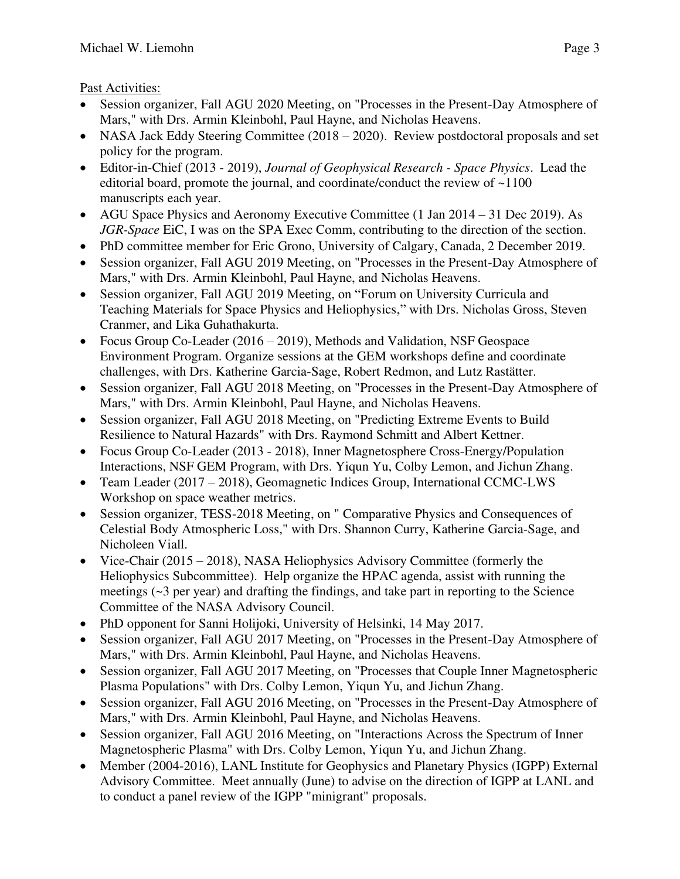### Past Activities:

- Session organizer, Fall AGU 2020 Meeting, on "Processes in the Present-Day Atmosphere of Mars," with Drs. Armin Kleinbohl, Paul Hayne, and Nicholas Heavens.
- NASA Jack Eddy Steering Committee (2018 2020). Review postdoctoral proposals and set policy for the program.
- Editor-in-Chief (2013 2019), *Journal of Geophysical Research Space Physics*. Lead the editorial board, promote the journal, and coordinate/conduct the review of ~1100 manuscripts each year.
- AGU Space Physics and Aeronomy Executive Committee (1 Jan 2014 31 Dec 2019). As *JGR-Space* EiC, I was on the SPA Exec Comm, contributing to the direction of the section.
- PhD committee member for Eric Grono, University of Calgary, Canada, 2 December 2019.
- Session organizer, Fall AGU 2019 Meeting, on "Processes in the Present-Day Atmosphere of Mars," with Drs. Armin Kleinbohl, Paul Hayne, and Nicholas Heavens.
- Session organizer, Fall AGU 2019 Meeting, on "Forum on University Curricula and Teaching Materials for Space Physics and Heliophysics," with Drs. Nicholas Gross, Steven Cranmer, and Lika Guhathakurta.
- Focus Group Co-Leader (2016 2019), Methods and Validation, NSF Geospace Environment Program. Organize sessions at the GEM workshops define and coordinate challenges, with Drs. Katherine Garcia-Sage, Robert Redmon, and Lutz Rastätter.
- Session organizer, Fall AGU 2018 Meeting, on "Processes in the Present-Day Atmosphere of Mars," with Drs. Armin Kleinbohl, Paul Hayne, and Nicholas Heavens.
- Session organizer, Fall AGU 2018 Meeting, on "Predicting Extreme Events to Build Resilience to Natural Hazards" with Drs. Raymond Schmitt and Albert Kettner.
- Focus Group Co-Leader (2013 2018), Inner Magnetosphere Cross-Energy/Population Interactions, NSF GEM Program, with Drs. Yiqun Yu, Colby Lemon, and Jichun Zhang.
- Team Leader (2017 2018), Geomagnetic Indices Group, International CCMC-LWS Workshop on space weather metrics.
- Session organizer, TESS-2018 Meeting, on " Comparative Physics and Consequences of Celestial Body Atmospheric Loss," with Drs. Shannon Curry, Katherine Garcia-Sage, and Nicholeen Viall.
- Vice-Chair (2015 2018), NASA Heliophysics Advisory Committee (formerly the Heliophysics Subcommittee). Help organize the HPAC agenda, assist with running the meetings (~3 per year) and drafting the findings, and take part in reporting to the Science Committee of the NASA Advisory Council.
- PhD opponent for Sanni Holijoki, University of Helsinki, 14 May 2017.
- Session organizer, Fall AGU 2017 Meeting, on "Processes in the Present-Day Atmosphere of Mars," with Drs. Armin Kleinbohl, Paul Hayne, and Nicholas Heavens.
- Session organizer, Fall AGU 2017 Meeting, on "Processes that Couple Inner Magnetospheric Plasma Populations" with Drs. Colby Lemon, Yiqun Yu, and Jichun Zhang.
- Session organizer, Fall AGU 2016 Meeting, on "Processes in the Present-Day Atmosphere of Mars," with Drs. Armin Kleinbohl, Paul Hayne, and Nicholas Heavens.
- Session organizer, Fall AGU 2016 Meeting, on "Interactions Across the Spectrum of Inner Magnetospheric Plasma" with Drs. Colby Lemon, Yiqun Yu, and Jichun Zhang.
- Member (2004-2016), LANL Institute for Geophysics and Planetary Physics (IGPP) External Advisory Committee. Meet annually (June) to advise on the direction of IGPP at LANL and to conduct a panel review of the IGPP "minigrant" proposals.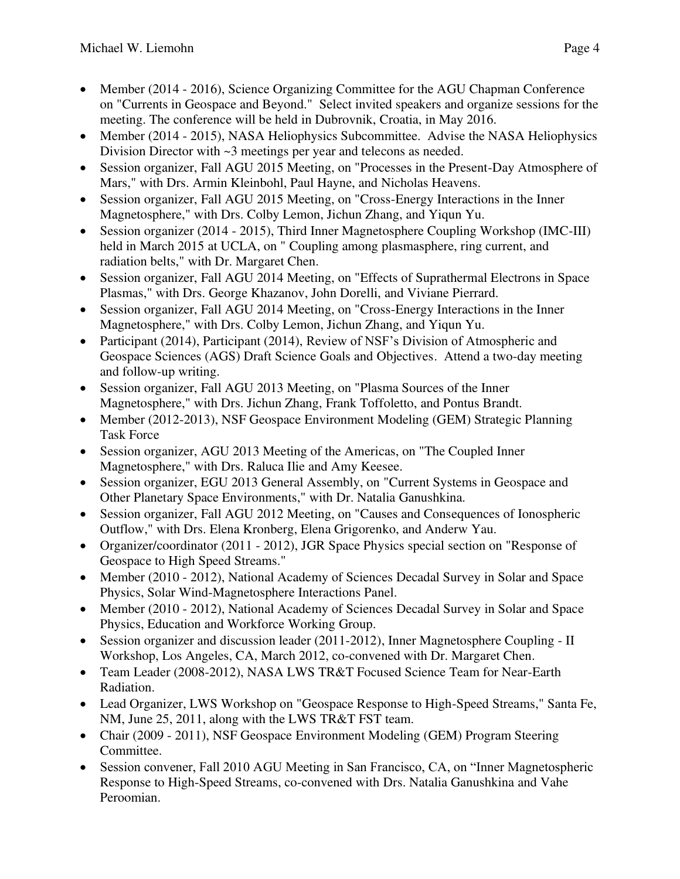- Member (2014 2016), Science Organizing Committee for the AGU Chapman Conference on "Currents in Geospace and Beyond." Select invited speakers and organize sessions for the meeting. The conference will be held in Dubrovnik, Croatia, in May 2016.
- Member (2014 2015), NASA Heliophysics Subcommittee. Advise the NASA Heliophysics Division Director with ~3 meetings per year and telecons as needed.
- Session organizer, Fall AGU 2015 Meeting, on "Processes in the Present-Day Atmosphere of Mars," with Drs. Armin Kleinbohl, Paul Hayne, and Nicholas Heavens.
- Session organizer, Fall AGU 2015 Meeting, on "Cross-Energy Interactions in the Inner Magnetosphere," with Drs. Colby Lemon, Jichun Zhang, and Yiqun Yu.
- Session organizer (2014 2015), Third Inner Magnetosphere Coupling Workshop (IMC-III) held in March 2015 at UCLA, on " Coupling among plasmasphere, ring current, and radiation belts," with Dr. Margaret Chen.
- Session organizer, Fall AGU 2014 Meeting, on "Effects of Suprathermal Electrons in Space Plasmas," with Drs. George Khazanov, John Dorelli, and Viviane Pierrard.
- Session organizer, Fall AGU 2014 Meeting, on "Cross-Energy Interactions in the Inner Magnetosphere," with Drs. Colby Lemon, Jichun Zhang, and Yiqun Yu.
- Participant (2014), Participant (2014), Review of NSF's Division of Atmospheric and Geospace Sciences (AGS) Draft Science Goals and Objectives. Attend a two-day meeting and follow-up writing.
- Session organizer, Fall AGU 2013 Meeting, on "Plasma Sources of the Inner Magnetosphere," with Drs. Jichun Zhang, Frank Toffoletto, and Pontus Brandt.
- Member (2012-2013), NSF Geospace Environment Modeling (GEM) Strategic Planning Task Force
- Session organizer, AGU 2013 Meeting of the Americas, on "The Coupled Inner Magnetosphere," with Drs. Raluca Ilie and Amy Keesee.
- Session organizer, EGU 2013 General Assembly, on "Current Systems in Geospace and Other Planetary Space Environments," with Dr. Natalia Ganushkina.
- Session organizer, Fall AGU 2012 Meeting, on "Causes and Consequences of Ionospheric Outflow," with Drs. Elena Kronberg, Elena Grigorenko, and Anderw Yau.
- Organizer/coordinator (2011 2012), JGR Space Physics special section on "Response of Geospace to High Speed Streams."
- Member (2010 2012), National Academy of Sciences Decadal Survey in Solar and Space Physics, Solar Wind-Magnetosphere Interactions Panel.
- Member (2010 2012), National Academy of Sciences Decadal Survey in Solar and Space Physics, Education and Workforce Working Group.
- Session organizer and discussion leader (2011-2012), Inner Magnetosphere Coupling II Workshop, Los Angeles, CA, March 2012, co-convened with Dr. Margaret Chen.
- Team Leader (2008-2012), NASA LWS TR&T Focused Science Team for Near-Earth Radiation.
- Lead Organizer, LWS Workshop on "Geospace Response to High-Speed Streams," Santa Fe, NM, June 25, 2011, along with the LWS TR&T FST team.
- Chair (2009 2011), NSF Geospace Environment Modeling (GEM) Program Steering Committee.
- Session convener, Fall 2010 AGU Meeting in San Francisco, CA, on "Inner Magnetospheric Response to High-Speed Streams, co-convened with Drs. Natalia Ganushkina and Vahe Peroomian.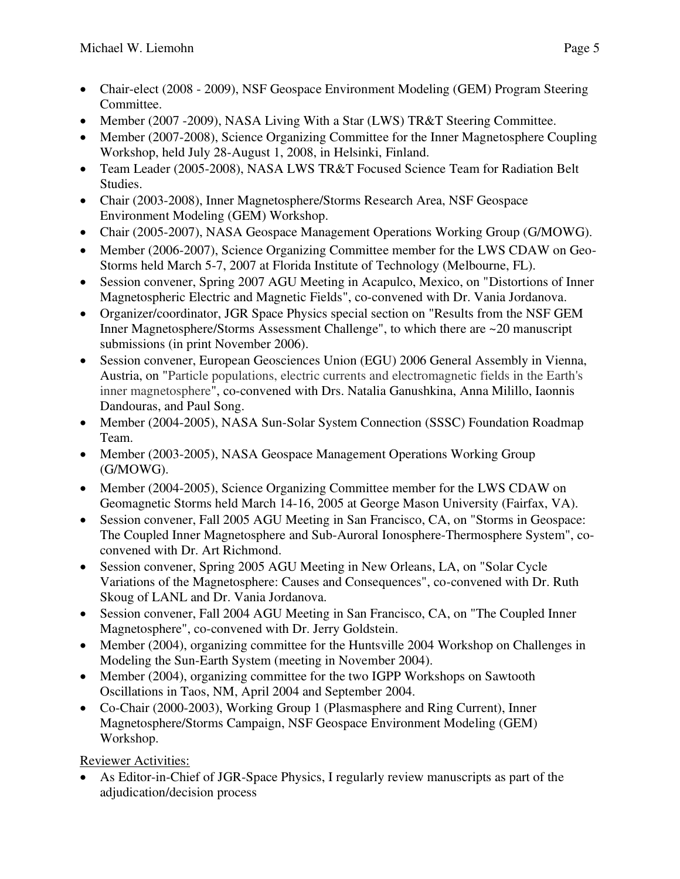- Chair-elect (2008 2009), NSF Geospace Environment Modeling (GEM) Program Steering Committee.
- Member (2007 -2009), NASA Living With a Star (LWS) TR&T Steering Committee.
- Member (2007-2008), Science Organizing Committee for the Inner Magnetosphere Coupling Workshop, held July 28-August 1, 2008, in Helsinki, Finland.
- Team Leader (2005-2008), NASA LWS TR&T Focused Science Team for Radiation Belt Studies.
- Chair (2003-2008), Inner Magnetosphere/Storms Research Area, NSF Geospace Environment Modeling (GEM) Workshop.
- Chair (2005-2007), NASA Geospace Management Operations Working Group (G/MOWG).
- Member (2006-2007), Science Organizing Committee member for the LWS CDAW on Geo-Storms held March 5-7, 2007 at Florida Institute of Technology (Melbourne, FL).
- Session convener, Spring 2007 AGU Meeting in Acapulco, Mexico, on "Distortions of Inner Magnetospheric Electric and Magnetic Fields", co-convened with Dr. Vania Jordanova.
- Organizer/coordinator, JGR Space Physics special section on "Results from the NSF GEM Inner Magnetosphere/Storms Assessment Challenge", to which there are ~20 manuscript submissions (in print November 2006).
- Session convener, European Geosciences Union (EGU) 2006 General Assembly in Vienna, Austria, on "Particle populations, electric currents and electromagnetic fields in the Earth's inner magnetosphere", co-convened with Drs. Natalia Ganushkina, Anna Milillo, Iaonnis Dandouras, and Paul Song.
- Member (2004-2005), NASA Sun-Solar System Connection (SSSC) Foundation Roadmap Team.
- Member (2003-2005), NASA Geospace Management Operations Working Group (G/MOWG).
- Member (2004-2005), Science Organizing Committee member for the LWS CDAW on Geomagnetic Storms held March 14-16, 2005 at George Mason University (Fairfax, VA).
- Session convener, Fall 2005 AGU Meeting in San Francisco, CA, on "Storms in Geospace: The Coupled Inner Magnetosphere and Sub-Auroral Ionosphere-Thermosphere System", coconvened with Dr. Art Richmond.
- Session convener, Spring 2005 AGU Meeting in New Orleans, LA, on "Solar Cycle" Variations of the Magnetosphere: Causes and Consequences", co-convened with Dr. Ruth Skoug of LANL and Dr. Vania Jordanova.
- Session convener, Fall 2004 AGU Meeting in San Francisco, CA, on "The Coupled Inner Magnetosphere", co-convened with Dr. Jerry Goldstein.
- Member (2004), organizing committee for the Huntsville 2004 Workshop on Challenges in Modeling the Sun-Earth System (meeting in November 2004).
- Member (2004), organizing committee for the two IGPP Workshops on Sawtooth Oscillations in Taos, NM, April 2004 and September 2004.
- Co-Chair (2000-2003), Working Group 1 (Plasmasphere and Ring Current), Inner Magnetosphere/Storms Campaign, NSF Geospace Environment Modeling (GEM) Workshop.

Reviewer Activities:

• As Editor-in-Chief of JGR-Space Physics, I regularly review manuscripts as part of the adjudication/decision process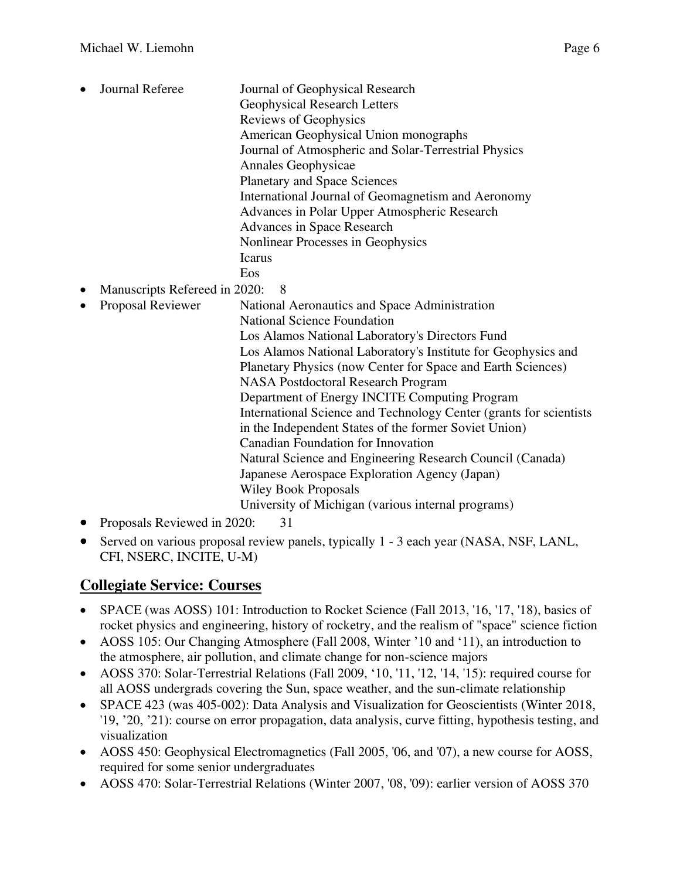- Journal Referee Journal of Geophysical Research Geophysical Research Letters Reviews of Geophysics American Geophysical Union monographs Journal of Atmospheric and Solar-Terrestrial Physics Annales Geophysicae Planetary and Space Sciences International Journal of Geomagnetism and Aeronomy Advances in Polar Upper Atmospheric Research Advances in Space Research Nonlinear Processes in Geophysics Icarus Eos • Manuscripts Refereed in 2020: 8 • Proposal Reviewer National Aeronautics and Space Administration National Science Foundation Los Alamos National Laboratory's Directors Fund Los Alamos National Laboratory's Institute for Geophysics and Planetary Physics (now Center for Space and Earth Sciences) NASA Postdoctoral Research Program Department of Energy INCITE Computing Program International Science and Technology Center (grants for scientists in the Independent States of the former Soviet Union) Canadian Foundation for Innovation Natural Science and Engineering Research Council (Canada) Japanese Aerospace Exploration Agency (Japan) Wiley Book Proposals University of Michigan (various internal programs)
- Proposals Reviewed in 2020: 31
- Served on various proposal review panels, typically 1 3 each year (NASA, NSF, LANL, CFI, NSERC, INCITE, U-M)

### **Collegiate Service: Courses**

- SPACE (was AOSS) 101: Introduction to Rocket Science (Fall 2013, '16, '17, '18), basics of rocket physics and engineering, history of rocketry, and the realism of "space" science fiction
- AOSS 105: Our Changing Atmosphere (Fall 2008, Winter '10 and '11), an introduction to the atmosphere, air pollution, and climate change for non-science majors
- AOSS 370: Solar-Terrestrial Relations (Fall 2009, '10, '11, '12, '14, '15): required course for all AOSS undergrads covering the Sun, space weather, and the sun-climate relationship
- SPACE 423 (was 405-002): Data Analysis and Visualization for Geoscientists (Winter 2018, '19, '20, '21): course on error propagation, data analysis, curve fitting, hypothesis testing, and visualization
- AOSS 450: Geophysical Electromagnetics (Fall 2005, '06, and '07), a new course for AOSS, required for some senior undergraduates
- AOSS 470: Solar-Terrestrial Relations (Winter 2007, '08, '09): earlier version of AOSS 370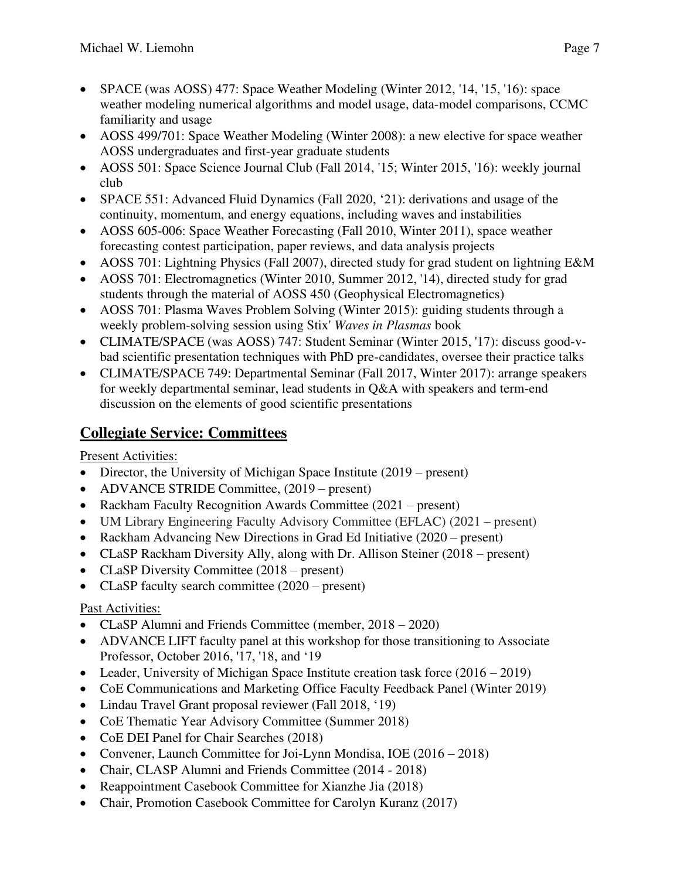- SPACE (was AOSS) 477: Space Weather Modeling (Winter 2012, '14, '15, '16): space weather modeling numerical algorithms and model usage, data-model comparisons, CCMC familiarity and usage
- AOSS 499/701: Space Weather Modeling (Winter 2008): a new elective for space weather AOSS undergraduates and first-year graduate students
- AOSS 501: Space Science Journal Club (Fall 2014, '15; Winter 2015, '16): weekly journal club
- SPACE 551: Advanced Fluid Dynamics (Fall 2020, '21): derivations and usage of the continuity, momentum, and energy equations, including waves and instabilities
- AOSS 605-006: Space Weather Forecasting (Fall 2010, Winter 2011), space weather forecasting contest participation, paper reviews, and data analysis projects
- AOSS 701: Lightning Physics (Fall 2007), directed study for grad student on lightning E&M
- AOSS 701: Electromagnetics (Winter 2010, Summer 2012, '14), directed study for grad students through the material of AOSS 450 (Geophysical Electromagnetics)
- AOSS 701: Plasma Waves Problem Solving (Winter 2015): guiding students through a weekly problem-solving session using Stix' *Waves in Plasmas* book
- CLIMATE/SPACE (was AOSS) 747: Student Seminar (Winter 2015, '17): discuss good-vbad scientific presentation techniques with PhD pre-candidates, oversee their practice talks
- CLIMATE/SPACE 749: Departmental Seminar (Fall 2017, Winter 2017): arrange speakers for weekly departmental seminar, lead students in Q&A with speakers and term-end discussion on the elements of good scientific presentations

## **Collegiate Service: Committees**

Present Activities:

- Director, the University of Michigan Space Institute (2019 present)
- ADVANCE STRIDE Committee,  $(2019 present)$
- Rackham Faculty Recognition Awards Committee (2021 present)
- UM Library Engineering Faculty Advisory Committee (EFLAC) (2021 present)
- Rackham Advancing New Directions in Grad Ed Initiative (2020 present)
- CLaSP Rackham Diversity Ally, along with Dr. Allison Steiner (2018 present)
- CLaSP Diversity Committee (2018 present)
- CLaSP faculty search committee  $(2020 \text{present})$

#### Past Activities:

- CLaSP Alumni and Friends Committee (member, 2018 2020)
- ADVANCE LIFT faculty panel at this workshop for those transitioning to Associate Professor, October 2016, '17, '18, and '19
- Leader, University of Michigan Space Institute creation task force (2016 2019)
- CoE Communications and Marketing Office Faculty Feedback Panel (Winter 2019)
- Lindau Travel Grant proposal reviewer (Fall 2018, '19)
- CoE Thematic Year Advisory Committee (Summer 2018)
- CoE DEI Panel for Chair Searches (2018)
- Convener, Launch Committee for Joi-Lynn Mondisa, IOE (2016 2018)
- Chair, CLASP Alumni and Friends Committee (2014 2018)
- Reappointment Casebook Committee for Xianzhe Jia (2018)
- Chair, Promotion Casebook Committee for Carolyn Kuranz (2017)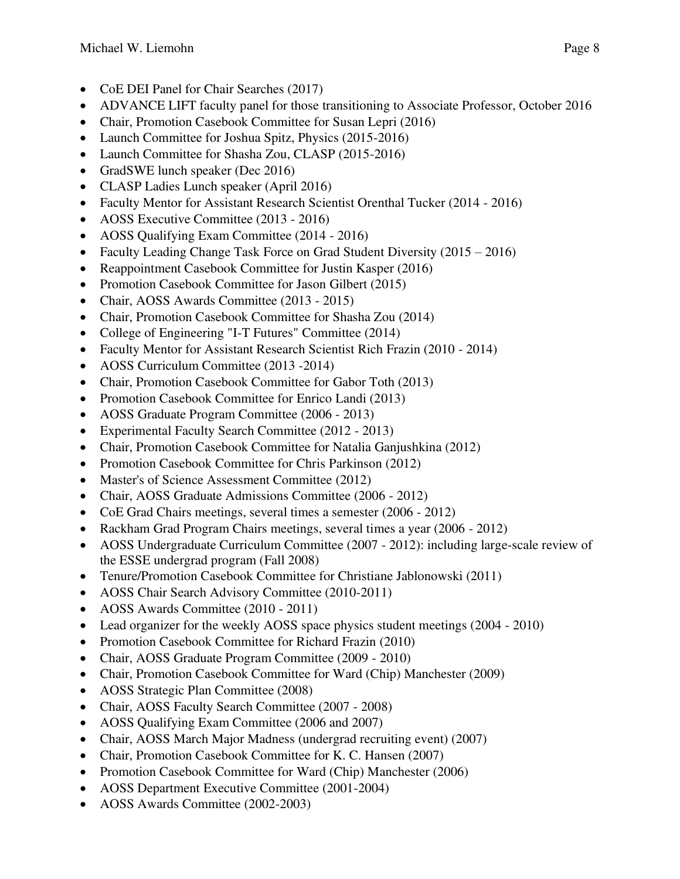- CoE DEI Panel for Chair Searches (2017)
- ADVANCE LIFT faculty panel for those transitioning to Associate Professor, October 2016
- Chair, Promotion Casebook Committee for Susan Lepri (2016)
- Launch Committee for Joshua Spitz, Physics (2015-2016)
- Launch Committee for Shasha Zou, CLASP (2015-2016)
- GradSWE lunch speaker (Dec 2016)
- CLASP Ladies Lunch speaker (April 2016)
- Faculty Mentor for Assistant Research Scientist Orenthal Tucker (2014 2016)
- AOSS Executive Committee (2013 2016)
- AOSS Qualifying Exam Committee (2014 2016)
- Faculty Leading Change Task Force on Grad Student Diversity (2015 2016)
- Reappointment Casebook Committee for Justin Kasper (2016)
- Promotion Casebook Committee for Jason Gilbert (2015)
- Chair, AOSS Awards Committee (2013 2015)
- Chair, Promotion Casebook Committee for Shasha Zou (2014)
- College of Engineering "I-T Futures" Committee (2014)
- Faculty Mentor for Assistant Research Scientist Rich Frazin (2010 2014)
- AOSS Curriculum Committee (2013 -2014)
- Chair, Promotion Casebook Committee for Gabor Toth (2013)
- Promotion Casebook Committee for Enrico Landi (2013)
- AOSS Graduate Program Committee (2006 2013)
- Experimental Faculty Search Committee (2012 2013)
- Chair, Promotion Casebook Committee for Natalia Ganjushkina (2012)
- Promotion Casebook Committee for Chris Parkinson (2012)
- Master's of Science Assessment Committee (2012)
- Chair, AOSS Graduate Admissions Committee (2006 2012)
- CoE Grad Chairs meetings, several times a semester (2006 2012)
- Rackham Grad Program Chairs meetings, several times a year (2006 2012)
- AOSS Undergraduate Curriculum Committee (2007 2012): including large-scale review of the ESSE undergrad program (Fall 2008)
- Tenure/Promotion Casebook Committee for Christiane Jablonowski (2011)
- AOSS Chair Search Advisory Committee (2010-2011)
- AOSS Awards Committee (2010 2011)
- Lead organizer for the weekly AOSS space physics student meetings (2004 2010)
- Promotion Casebook Committee for Richard Frazin (2010)
- Chair, AOSS Graduate Program Committee (2009 2010)
- Chair, Promotion Casebook Committee for Ward (Chip) Manchester (2009)
- AOSS Strategic Plan Committee (2008)
- Chair, AOSS Faculty Search Committee (2007 2008)
- AOSS Qualifying Exam Committee (2006 and 2007)
- Chair, AOSS March Major Madness (undergrad recruiting event) (2007)
- Chair, Promotion Casebook Committee for K. C. Hansen (2007)
- Promotion Casebook Committee for Ward (Chip) Manchester (2006)
- AOSS Department Executive Committee (2001-2004)
- AOSS Awards Committee (2002-2003)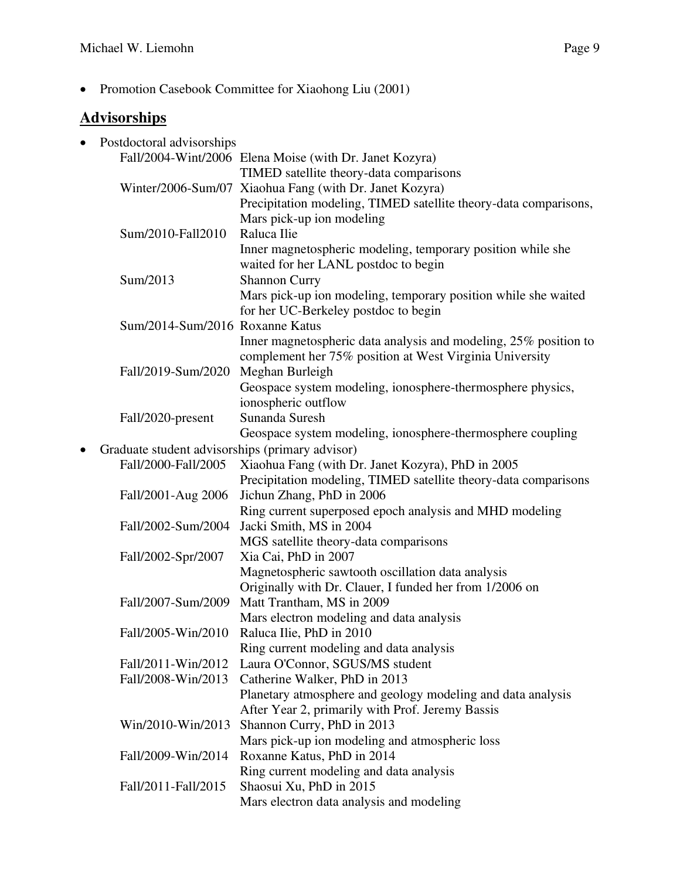• Promotion Casebook Committee for Xiaohong Liu (2001)

## **Advisorships**

| $\bullet$ | Postdoctoral advisorships                       |                                                                                    |
|-----------|-------------------------------------------------|------------------------------------------------------------------------------------|
|           |                                                 | Fall/2004-Wint/2006 Elena Moise (with Dr. Janet Kozyra)                            |
|           |                                                 | TIMED satellite theory-data comparisons                                            |
|           |                                                 | Winter/2006-Sum/07 Xiaohua Fang (with Dr. Janet Kozyra)                            |
|           |                                                 | Precipitation modeling, TIMED satellite theory-data comparisons,                   |
|           |                                                 | Mars pick-up ion modeling                                                          |
|           | Sum/2010-Fall2010                               | Raluca Ilie                                                                        |
|           |                                                 | Inner magnetospheric modeling, temporary position while she                        |
|           |                                                 | waited for her LANL postdoc to begin                                               |
|           | Sum/2013                                        | <b>Shannon Curry</b>                                                               |
|           |                                                 | Mars pick-up ion modeling, temporary position while she waited                     |
|           |                                                 | for her UC-Berkeley postdoc to begin                                               |
|           | Sum/2014-Sum/2016 Roxanne Katus                 |                                                                                    |
|           |                                                 | Inner magnetospheric data analysis and modeling, 25% position to                   |
|           |                                                 | complement her 75% position at West Virginia University                            |
|           | Fall/2019-Sum/2020                              | Meghan Burleigh                                                                    |
|           |                                                 | Geospace system modeling, ionosphere-thermosphere physics,                         |
|           |                                                 | ionospheric outflow                                                                |
|           | Fall/2020-present                               | Sunanda Suresh                                                                     |
|           |                                                 | Geospace system modeling, ionosphere-thermosphere coupling                         |
|           | Graduate student advisorships (primary advisor) |                                                                                    |
| $\bullet$ | Fall/2000-Fall/2005                             |                                                                                    |
|           |                                                 | Xiaohua Fang (with Dr. Janet Kozyra), PhD in 2005                                  |
|           |                                                 | Precipitation modeling, TIMED satellite theory-data comparisons                    |
|           | Fall/2001-Aug 2006                              | Jichun Zhang, PhD in 2006                                                          |
|           | Fall/2002-Sum/2004                              | Ring current superposed epoch analysis and MHD modeling<br>Jacki Smith, MS in 2004 |
|           |                                                 |                                                                                    |
|           |                                                 | MGS satellite theory-data comparisons                                              |
|           | Fall/2002-Spr/2007                              | Xia Cai, PhD in 2007                                                               |
|           |                                                 | Magnetospheric sawtooth oscillation data analysis                                  |
|           |                                                 | Originally with Dr. Clauer, I funded her from 1/2006 on                            |
|           | Fall/2007-Sum/2009                              | Matt Trantham, MS in 2009                                                          |
|           |                                                 | Mars electron modeling and data analysis                                           |
|           |                                                 | Fall/2005-Win/2010 Raluca Ilie, PhD in 2010                                        |
|           |                                                 | Ring current modeling and data analysis                                            |
|           | Fall/2011-Win/2012                              | Laura O'Connor, SGUS/MS student                                                    |
|           | Fall/2008-Win/2013                              | Catherine Walker, PhD in 2013                                                      |
|           |                                                 | Planetary atmosphere and geology modeling and data analysis                        |
|           |                                                 | After Year 2, primarily with Prof. Jeremy Bassis                                   |
|           | Win/2010-Win/2013                               | Shannon Curry, PhD in 2013                                                         |
|           |                                                 | Mars pick-up ion modeling and atmospheric loss                                     |
|           | Fall/2009-Win/2014                              | Roxanne Katus, PhD in 2014                                                         |
|           |                                                 | Ring current modeling and data analysis                                            |
|           | Fall/2011-Fall/2015                             | Shaosui Xu, PhD in 2015                                                            |
|           |                                                 | Mars electron data analysis and modeling                                           |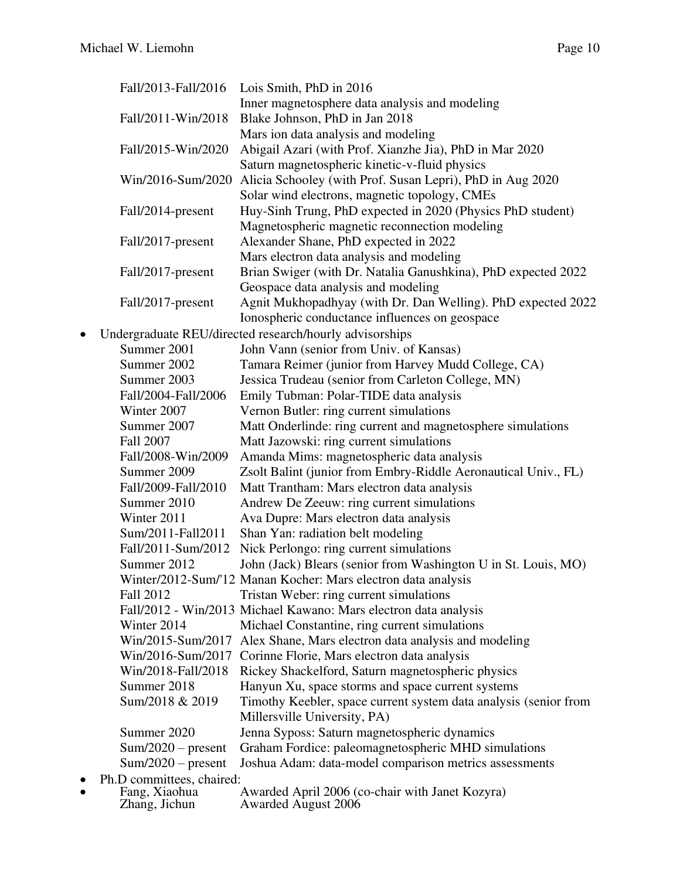|   |                      | Fall/2013-Fall/2016 Lois Smith, PhD in 2016                      |
|---|----------------------|------------------------------------------------------------------|
|   |                      | Inner magnetosphere data analysis and modeling                   |
|   | Fall/2011-Win/2018   | Blake Johnson, PhD in Jan 2018                                   |
|   |                      | Mars ion data analysis and modeling                              |
|   | Fall/2015-Win/2020   | Abigail Azari (with Prof. Xianzhe Jia), PhD in Mar 2020          |
|   |                      | Saturn magnetospheric kinetic-v-fluid physics                    |
|   | Win/2016-Sum/2020    | Alicia Schooley (with Prof. Susan Lepri), PhD in Aug 2020        |
|   |                      | Solar wind electrons, magnetic topology, CMEs                    |
|   | Fall/2014-present    | Huy-Sinh Trung, PhD expected in 2020 (Physics PhD student)       |
|   |                      | Magnetospheric magnetic reconnection modeling                    |
|   | Fall/2017-present    | Alexander Shane, PhD expected in 2022                            |
|   |                      | Mars electron data analysis and modeling                         |
|   | Fall/2017-present    | Brian Swiger (with Dr. Natalia Ganushkina), PhD expected 2022    |
|   |                      | Geospace data analysis and modeling                              |
|   | Fall/2017-present    | Agnit Mukhopadhyay (with Dr. Dan Welling). PhD expected 2022     |
|   |                      | Ionospheric conductance influences on geospace                   |
| ٠ |                      | Undergraduate REU/directed research/hourly advisorships          |
|   | Summer 2001          | John Vann (senior from Univ. of Kansas)                          |
|   | Summer 2002          | Tamara Reimer (junior from Harvey Mudd College, CA)              |
|   | Summer 2003          | Jessica Trudeau (senior from Carleton College, MN)               |
|   | Fall/2004-Fall/2006  | Emily Tubman: Polar-TIDE data analysis                           |
|   | Winter 2007          | Vernon Butler: ring current simulations                          |
|   | Summer 2007          | Matt Onderlinde: ring current and magnetosphere simulations      |
|   | Fall 2007            | Matt Jazowski: ring current simulations                          |
|   | Fall/2008-Win/2009   | Amanda Mims: magnetospheric data analysis                        |
|   | Summer 2009          | Zsolt Balint (junior from Embry-Riddle Aeronautical Univ., FL)   |
|   | Fall/2009-Fall/2010  | Matt Trantham: Mars electron data analysis                       |
|   | Summer 2010          | Andrew De Zeeuw: ring current simulations                        |
|   | Winter 2011          | Ava Dupre: Mars electron data analysis                           |
|   | Sum/2011-Fall2011    | Shan Yan: radiation belt modeling                                |
|   | Fall/2011-Sum/2012   | Nick Perlongo: ring current simulations                          |
|   | Summer 2012          | John (Jack) Blears (senior from Washington U in St. Louis, MO)   |
|   |                      | Winter/2012-Sum/'12 Manan Kocher: Mars electron data analysis    |
|   | Fall 2012            | Tristan Weber: ring current simulations                          |
|   |                      | Fall/2012 - Win/2013 Michael Kawano: Mars electron data analysis |
|   | Winter 2014          | Michael Constantine, ring current simulations                    |
|   | Win/2015-Sum/2017    | Alex Shane, Mars electron data analysis and modeling             |
|   | Win/2016-Sum/2017    | Corinne Florie, Mars electron data analysis                      |
|   | Win/2018-Fall/2018   | Rickey Shackelford, Saturn magnetospheric physics                |
|   | Summer 2018          | Hanyun Xu, space storms and space current systems                |
|   | Sum/2018 & 2019      | Timothy Keebler, space current system data analysis (senior from |
|   |                      | Millersville University, PA)                                     |
|   | Summer 2020          | Jenna Syposs: Saturn magnetospheric dynamics                     |
|   | $Sum/2020 - present$ | Graham Fordice: paleomagnetospheric MHD simulations              |
|   | $Sum/2020 - present$ | Joshua Adam: data-model comparison metrics assessments           |

• Ph.D committees, chaired:<br>• Fang, Xiaohua

| Fang, Xiaohua | Awarded April 2006 (co-chair with Janet Kozyra) |
|---------------|-------------------------------------------------|
| Zhang, Jichun | <b>Awarded August 2006</b>                      |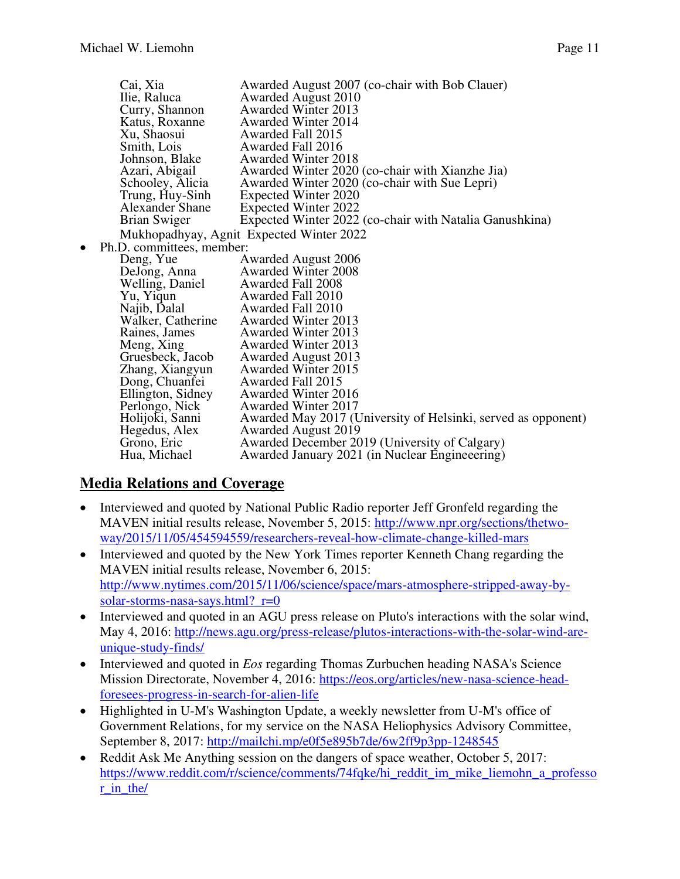|           | Cai, Xia                  | Awarded August 2007 (co-chair with Bob Clauer)                |
|-----------|---------------------------|---------------------------------------------------------------|
|           | Ilie, Raluca              | <b>Awarded August 2010</b>                                    |
|           | Curry, Shannon            | <b>Awarded Winter 2013</b>                                    |
|           | Katus, Roxanne            | <b>Awarded Winter 2014</b>                                    |
|           | Xu, Shaosui               | Awarded Fall 2015                                             |
|           | Smith, Lois               | Awarded Fall 2016                                             |
|           | Johnson, Blake            | <b>Awarded Winter 2018</b>                                    |
|           | Azari, Abigail            | Awarded Winter 2020 (co-chair with Xianzhe Jia)               |
|           | Schooley, Alicia          | Awarded Winter 2020 (co-chair with Sue Lepri)                 |
|           | Trung, Huy-Sinh           | Expected Winter 2020                                          |
|           | <b>Alexander Shane</b>    | Expected Winter 2022                                          |
|           | Brian Swiger              | Expected Winter 2022 (co-chair with Natalia Ganushkina)       |
|           |                           | Mukhopadhyay, Agnit Expected Winter 2022                      |
| $\bullet$ | Ph.D. committees, member: |                                                               |
|           | Deng, Yue                 | <b>Awarded August 2006</b>                                    |
|           | DeJong, Anna              | <b>Awarded Winter 2008</b>                                    |
|           | Welling, Daniel           | Awarded Fall 2008                                             |
|           | Yu, Yiqun                 | Awarded Fall 2010                                             |
|           | Najib, Dalal              | Awarded Fall 2010                                             |
|           | Walker, Catherine         | <b>Awarded Winter 2013</b>                                    |
|           | Raines, James             | <b>Awarded Winter 2013</b>                                    |
|           | Meng, Xing                | <b>Awarded Winter 2013</b>                                    |
|           | Gruesbeck, Jacob          | <b>Awarded August 2013</b>                                    |
|           | Zhang, Xiangyun           | Awarded Winter 2015                                           |
|           | Dong, Chuanfei            | Awarded Fall 2015                                             |
|           | Ellington, Sidney         | <b>Awarded Winter 2016</b>                                    |
|           | Perlongo, Nick            | <b>Awarded Winter 2017</b>                                    |
|           | Holijoki, Sanni           | Awarded May 2017 (University of Helsinki, served as opponent) |
|           | Hegedus, Alex             | <b>Awarded August 2019</b>                                    |
|           | Grono, Eric               | Awarded December 2019 (University of Calgary)                 |
|           |                           | Awarded January 2021 (in Nuclear Engineeering)                |
|           | Hua, Michael              |                                                               |

#### **Media Relations and Coverage**

- Interviewed and quoted by National Public Radio reporter Jeff Gronfeld regarding the MAVEN initial results release, November 5, 2015: [http://www.npr.org/sections/thetwo](http://www.npr.org/sections/thetwo-way/2015/11/05/454594559/researchers-reveal-how-climate-change-killed-mars)[way/2015/11/05/454594559/researchers-reveal-how-climate-change-killed-mars](http://www.npr.org/sections/thetwo-way/2015/11/05/454594559/researchers-reveal-how-climate-change-killed-mars)
- Interviewed and quoted by the New York Times reporter Kenneth Chang regarding the MAVEN initial results release, November 6, 2015: [http://www.nytimes.com/2015/11/06/science/space/mars-atmosphere-stripped-away-by](http://www.nytimes.com/2015/11/06/science/space/mars-atmosphere-stripped-away-by-solar-storms-nasa-says.html?_r=0)solar-storms-nasa-says.html? r=0
- Interviewed and quoted in an AGU press release on Pluto's interactions with the solar wind, May 4, 2016: [http://news.agu.org/press-release/plutos-interactions-with-the-solar-wind-are](http://news.agu.org/press-release/plutos-interactions-with-the-solar-wind-are-unique-study-finds/)[unique-study-finds/](http://news.agu.org/press-release/plutos-interactions-with-the-solar-wind-are-unique-study-finds/)
- Interviewed and quoted in *Eos* regarding Thomas Zurbuchen heading NASA's Science Mission Directorate, November 4, 2016: [https://eos.org/articles/new-nasa-science-head](https://eos.org/articles/new-nasa-science-head-foresees-progress-in-search-for-alien-life)[foresees-progress-in-search-for-alien-life](https://eos.org/articles/new-nasa-science-head-foresees-progress-in-search-for-alien-life)
- Highlighted in U-M's Washington Update, a weekly newsletter from U-M's office of Government Relations, for my service on the NASA Heliophysics Advisory Committee, September 8, 2017:<http://mailchi.mp/e0f5e895b7de/6w2ff9p3pp-1248545>
- Reddit Ask Me Anything session on the dangers of space weather, October 5, 2017: [https://www.reddit.com/r/science/comments/74fqke/hi\\_reddit\\_im\\_mike\\_liemohn\\_a\\_professo](https://www.reddit.com/r/science/comments/74fqke/hi_reddit_im_mike_liemohn_a_professor_in_the/) r in the/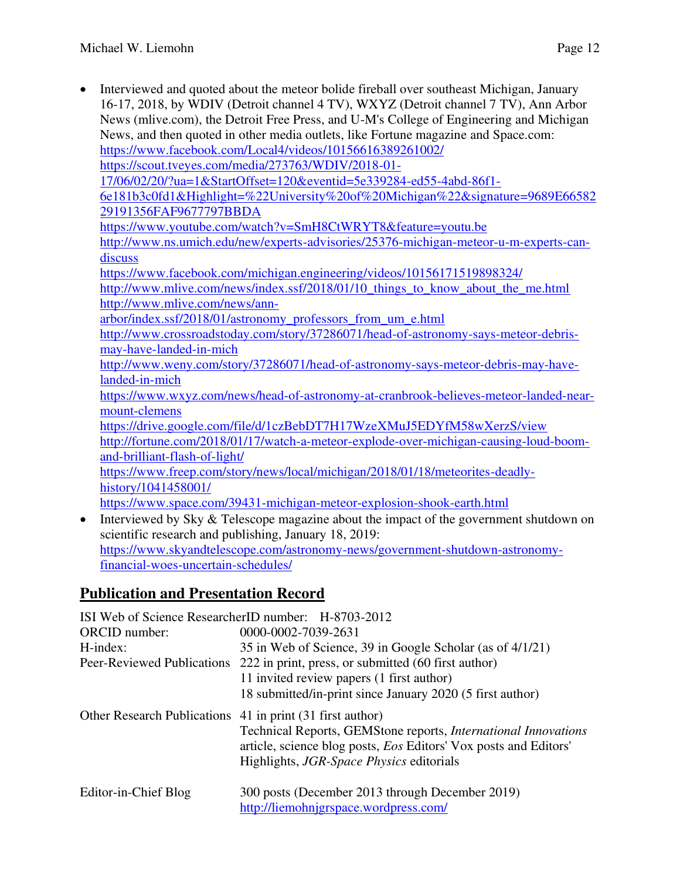- Interviewed and quoted about the meteor bolide fireball over southeast Michigan, January 16-17, 2018, by WDIV (Detroit channel 4 TV), WXYZ (Detroit channel 7 TV), Ann Arbor News (mlive.com), the Detroit Free Press, and U-M's College of Engineering and Michigan News, and then quoted in other media outlets, like Fortune magazine and Space.com: <https://www.facebook.com/Local4/videos/10156616389261002/> [https://scout.tveyes.com/media/273763/WDIV/2018-01-](https://scout.tveyes.com/media/273763/WDIV/2018-01-17/06/02/20/?ua=1&StartOffset=120&eventid=5e339284-ed55-4abd-86f1-6e181b3c0fd1&Highlight=%22University%20of%20Michigan%22&signature=9689E6658229191356FAF9677797BBDA) [17/06/02/20/?ua=1&StartOffset=120&eventid=5e339284-ed55-4abd-86f1-](https://scout.tveyes.com/media/273763/WDIV/2018-01-17/06/02/20/?ua=1&StartOffset=120&eventid=5e339284-ed55-4abd-86f1-6e181b3c0fd1&Highlight=%22University%20of%20Michigan%22&signature=9689E6658229191356FAF9677797BBDA) [6e181b3c0fd1&Highlight=%22University%20of%20Michigan%22&signature=9689E66582](https://scout.tveyes.com/media/273763/WDIV/2018-01-17/06/02/20/?ua=1&StartOffset=120&eventid=5e339284-ed55-4abd-86f1-6e181b3c0fd1&Highlight=%22University%20of%20Michigan%22&signature=9689E6658229191356FAF9677797BBDA) [29191356FAF9677797BBDA](https://scout.tveyes.com/media/273763/WDIV/2018-01-17/06/02/20/?ua=1&StartOffset=120&eventid=5e339284-ed55-4abd-86f1-6e181b3c0fd1&Highlight=%22University%20of%20Michigan%22&signature=9689E6658229191356FAF9677797BBDA)  <https://www.youtube.com/watch?v=SmH8CtWRYT8&feature=youtu.be> [http://www.ns.umich.edu/new/experts-advisories/25376-michigan-meteor-u-m-experts-can](http://www.ns.umich.edu/new/experts-advisories/25376-michigan-meteor-u-m-experts-can-discuss)[discuss](http://www.ns.umich.edu/new/experts-advisories/25376-michigan-meteor-u-m-experts-can-discuss)  <https://www.facebook.com/michigan.engineering/videos/10156171519898324/> http://www.mlive.com/news/index.ssf/2018/01/10 things to know about the me.html [http://www.mlive.com/news/ann](http://www.mlive.com/news/ann-arbor/index.ssf/2018/01/astronomy_professors_from_um_e.html)[arbor/index.ssf/2018/01/astronomy\\_professors\\_from\\_um\\_e.html](http://www.mlive.com/news/ann-arbor/index.ssf/2018/01/astronomy_professors_from_um_e.html)  [http://www.crossroadstoday.com/story/37286071/head-of-astronomy-says-meteor-debris](http://www.crossroadstoday.com/story/37286071/head-of-astronomy-says-meteor-debris-may-have-landed-in-mich)[may-have-landed-in-mich](http://www.crossroadstoday.com/story/37286071/head-of-astronomy-says-meteor-debris-may-have-landed-in-mich)  [http://www.weny.com/story/37286071/head-of-astronomy-says-meteor-debris-may-have](http://www.weny.com/story/37286071/head-of-astronomy-says-meteor-debris-may-have-landed-in-mich)[landed-in-mich](http://www.weny.com/story/37286071/head-of-astronomy-says-meteor-debris-may-have-landed-in-mich)  [https://www.wxyz.com/news/head-of-astronomy-at-cranbrook-believes-meteor-landed-near](https://www.wxyz.com/news/head-of-astronomy-at-cranbrook-believes-meteor-landed-near-mount-clemens)[mount-clemens](https://www.wxyz.com/news/head-of-astronomy-at-cranbrook-believes-meteor-landed-near-mount-clemens)  <https://drive.google.com/file/d/1czBebDT7H17WzeXMuJ5EDYfM58wXerzS/view> [http://fortune.com/2018/01/17/watch-a-meteor-explode-over-michigan-causing-loud-boom](http://fortune.com/2018/01/17/watch-a-meteor-explode-over-michigan-causing-loud-boom-and-brilliant-flash-of-light/)[and-brilliant-flash-of-light/](http://fortune.com/2018/01/17/watch-a-meteor-explode-over-michigan-causing-loud-boom-and-brilliant-flash-of-light/)  [https://www.freep.com/story/news/local/michigan/2018/01/18/meteorites-deadly](https://www.freep.com/story/news/local/michigan/2018/01/18/meteorites-deadly-history/1041458001/)[history/1041458001/](https://www.freep.com/story/news/local/michigan/2018/01/18/meteorites-deadly-history/1041458001/)  <https://www.space.com/39431-michigan-meteor-explosion-shook-earth.html> • Interviewed by Sky & Telescope magazine about the impact of the government shutdown on
- scientific research and publishing, January 18, 2019: [https://www.skyandtelescope.com/astronomy-news/government-shutdown-astronomy](https://www.skyandtelescope.com/astronomy-news/government-shutdown-astronomy-financial-woes-uncertain-schedules/)[financial-woes-uncertain-schedules/](https://www.skyandtelescope.com/astronomy-news/government-shutdown-astronomy-financial-woes-uncertain-schedules/)

### **Publication and Presentation Record**

|                                                           | ISI Web of Science ResearcherID number: H-8703-2012                                                                                                                                          |
|-----------------------------------------------------------|----------------------------------------------------------------------------------------------------------------------------------------------------------------------------------------------|
| <b>ORCID</b> number:                                      | 0000-0002-7039-2631                                                                                                                                                                          |
| H-index:                                                  | 35 in Web of Science, 39 in Google Scholar (as of 4/1/21)                                                                                                                                    |
|                                                           | Peer-Reviewed Publications 222 in print, press, or submitted (60 first author)                                                                                                               |
|                                                           | 11 invited review papers (1 first author)                                                                                                                                                    |
|                                                           | 18 submitted/in-print since January 2020 (5 first author)                                                                                                                                    |
| Other Research Publications 41 in print (31 first author) | Technical Reports, GEMStone reports, International Innovations<br>article, science blog posts, <i>Eos</i> Editors' Vox posts and Editors'<br>Highlights, <i>JGR-Space Physics</i> editorials |
| Editor-in-Chief Blog                                      | 300 posts (December 2013 through December 2019)<br>http://liemohnigrspace.wordpress.com/                                                                                                     |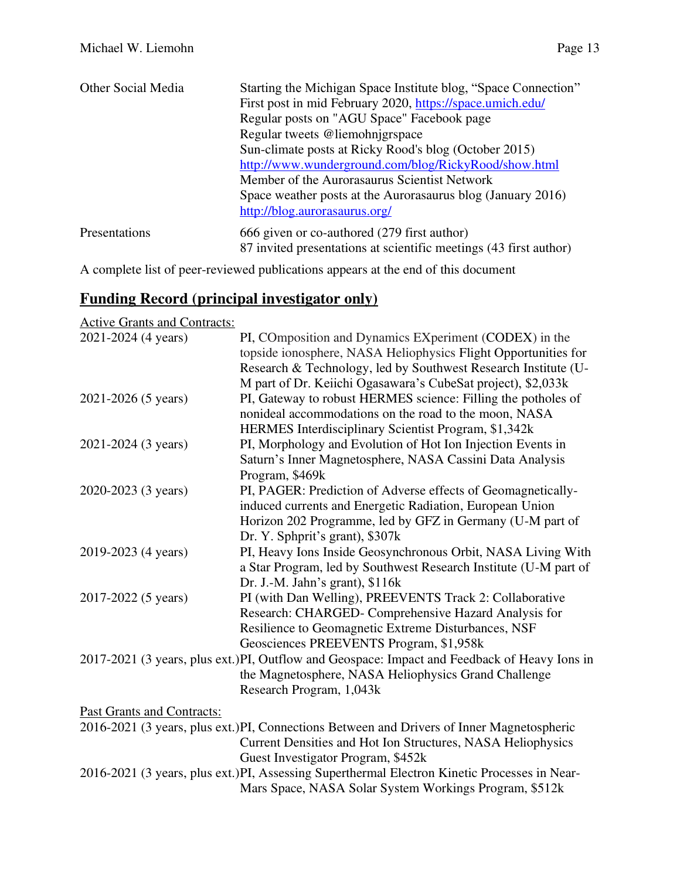| <b>Other Social Media</b> | Starting the Michigan Space Institute blog, "Space Connection"    |
|---------------------------|-------------------------------------------------------------------|
|                           | First post in mid February 2020, https://space.umich.edu/         |
|                           | Regular posts on "AGU Space" Facebook page                        |
|                           | Regular tweets @liemohnigrspace                                   |
|                           | Sun-climate posts at Ricky Rood's blog (October 2015)             |
|                           | http://www.wunderground.com/blog/RickyRood/show.html              |
|                           | Member of the Aurorasaurus Scientist Network                      |
|                           | Space weather posts at the Aurorasaurus blog (January 2016)       |
|                           | http://blog.aurorasaurus.org/                                     |
| Presentations             | 666 given or co-authored (279 first author)                       |
|                           | 87 invited presentations at scientific meetings (43 first author) |

A complete list of peer-reviewed publications appears at the end of this document

### **Funding Record (principal investigator only)**

Active Grants and Contracts:

| 2021-2024 (4 years)               | PI, COmposition and Dynamics EXperiment (CODEX) in the<br>topside ionosphere, NASA Heliophysics Flight Opportunities for<br>Research & Technology, led by Southwest Research Institute (U- |
|-----------------------------------|--------------------------------------------------------------------------------------------------------------------------------------------------------------------------------------------|
|                                   | M part of Dr. Keiichi Ogasawara's CubeSat project), \$2,033k                                                                                                                               |
| 2021-2026 (5 years)               | PI, Gateway to robust HERMES science: Filling the potholes of                                                                                                                              |
|                                   | nonideal accommodations on the road to the moon, NASA                                                                                                                                      |
|                                   | HERMES Interdisciplinary Scientist Program, \$1,342k                                                                                                                                       |
| 2021-2024 (3 years)               | PI, Morphology and Evolution of Hot Ion Injection Events in                                                                                                                                |
|                                   | Saturn's Inner Magnetosphere, NASA Cassini Data Analysis                                                                                                                                   |
|                                   | Program, \$469k                                                                                                                                                                            |
| 2020-2023 (3 years)               | PI, PAGER: Prediction of Adverse effects of Geomagnetically-                                                                                                                               |
|                                   | induced currents and Energetic Radiation, European Union                                                                                                                                   |
|                                   | Horizon 202 Programme, led by GFZ in Germany (U-M part of                                                                                                                                  |
|                                   | Dr. Y. Sphprit's grant), \$307k                                                                                                                                                            |
| 2019-2023 (4 years)               | PI, Heavy Ions Inside Geosynchronous Orbit, NASA Living With                                                                                                                               |
|                                   | a Star Program, led by Southwest Research Institute (U-M part of                                                                                                                           |
|                                   | Dr. J.-M. Jahn's grant), $$116k$                                                                                                                                                           |
| 2017-2022 (5 years)               | PI (with Dan Welling), PREEVENTS Track 2: Collaborative                                                                                                                                    |
|                                   | Research: CHARGED- Comprehensive Hazard Analysis for                                                                                                                                       |
|                                   | Resilience to Geomagnetic Extreme Disturbances, NSF                                                                                                                                        |
|                                   | Geosciences PREEVENTS Program, \$1,958k                                                                                                                                                    |
|                                   | 2017-2021 (3 years, plus ext.)PI, Outflow and Geospace: Impact and Feedback of Heavy Ions in                                                                                               |
|                                   | the Magnetosphere, NASA Heliophysics Grand Challenge                                                                                                                                       |
|                                   | Research Program, 1,043k                                                                                                                                                                   |
| <b>Past Grants and Contracts:</b> |                                                                                                                                                                                            |
|                                   | 2016-2021 (3 years, plus ext.)PI, Connections Between and Drivers of Inner Magnetospheric                                                                                                  |
|                                   | Current Densities and Hot Ion Structures, NASA Heliophysics                                                                                                                                |
|                                   | Guest Investigator Program, \$452k                                                                                                                                                         |
|                                   | 2016-2021 (3 years, plus ext.)PI, Assessing Superthermal Electron Kinetic Processes in Near-                                                                                               |
|                                   | Mars Space, NASA Solar System Workings Program, \$512k                                                                                                                                     |
|                                   |                                                                                                                                                                                            |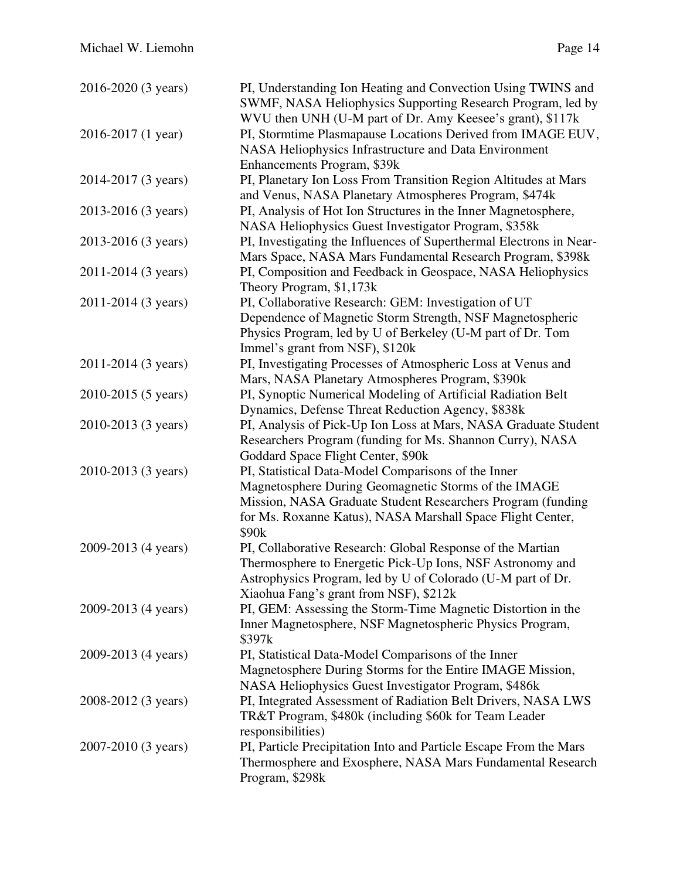| 2016-2020 (3 years) | PI, Understanding Ion Heating and Convection Using TWINS and<br>SWMF, NASA Heliophysics Supporting Research Program, led by<br>WVU then UNH (U-M part of Dr. Amy Keesee's grant), \$117k                                                                      |
|---------------------|---------------------------------------------------------------------------------------------------------------------------------------------------------------------------------------------------------------------------------------------------------------|
| 2016-2017 (1 year)  | PI, Stormtime Plasmapause Locations Derived from IMAGE EUV,<br>NASA Heliophysics Infrastructure and Data Environment<br>Enhancements Program, \$39k                                                                                                           |
| 2014-2017 (3 years) | PI, Planetary Ion Loss From Transition Region Altitudes at Mars<br>and Venus, NASA Planetary Atmospheres Program, \$474k                                                                                                                                      |
| 2013-2016 (3 years) | PI, Analysis of Hot Ion Structures in the Inner Magnetosphere,<br>NASA Heliophysics Guest Investigator Program, \$358k                                                                                                                                        |
| 2013-2016 (3 years) | PI, Investigating the Influences of Superthermal Electrons in Near-<br>Mars Space, NASA Mars Fundamental Research Program, \$398k                                                                                                                             |
| 2011-2014 (3 years) | PI, Composition and Feedback in Geospace, NASA Heliophysics<br>Theory Program, \$1,173k                                                                                                                                                                       |
| 2011-2014 (3 years) | PI, Collaborative Research: GEM: Investigation of UT<br>Dependence of Magnetic Storm Strength, NSF Magnetospheric<br>Physics Program, led by U of Berkeley (U-M part of Dr. Tom<br>Immel's grant from NSF), \$120k                                            |
| 2011-2014 (3 years) | PI, Investigating Processes of Atmospheric Loss at Venus and<br>Mars, NASA Planetary Atmospheres Program, \$390k                                                                                                                                              |
| 2010-2015 (5 years) | PI, Synoptic Numerical Modeling of Artificial Radiation Belt<br>Dynamics, Defense Threat Reduction Agency, \$838k                                                                                                                                             |
| 2010-2013 (3 years) | PI, Analysis of Pick-Up Ion Loss at Mars, NASA Graduate Student<br>Researchers Program (funding for Ms. Shannon Curry), NASA<br>Goddard Space Flight Center, \$90k                                                                                            |
| 2010-2013 (3 years) | PI, Statistical Data-Model Comparisons of the Inner<br>Magnetosphere During Geomagnetic Storms of the IMAGE<br>Mission, NASA Graduate Student Researchers Program (funding<br>for Ms. Roxanne Katus), NASA Marshall Space Flight Center,<br>\$90 <sub>k</sub> |
| 2009-2013 (4 years) | PI, Collaborative Research: Global Response of the Martian<br>Thermosphere to Energetic Pick-Up Ions, NSF Astronomy and<br>Astrophysics Program, led by U of Colorado (U-M part of Dr.<br>Xiaohua Fang's grant from NSF), \$212k                              |
| 2009-2013 (4 years) | PI, GEM: Assessing the Storm-Time Magnetic Distortion in the<br>Inner Magnetosphere, NSF Magnetospheric Physics Program,<br>\$397k                                                                                                                            |
| 2009-2013 (4 years) | PI, Statistical Data-Model Comparisons of the Inner<br>Magnetosphere During Storms for the Entire IMAGE Mission,<br>NASA Heliophysics Guest Investigator Program, \$486k                                                                                      |
| 2008-2012 (3 years) | PI, Integrated Assessment of Radiation Belt Drivers, NASA LWS<br>TR&T Program, \$480k (including \$60k for Team Leader<br>responsibilities)                                                                                                                   |
| 2007-2010 (3 years) | PI, Particle Precipitation Into and Particle Escape From the Mars<br>Thermosphere and Exosphere, NASA Mars Fundamental Research<br>Program, \$298k                                                                                                            |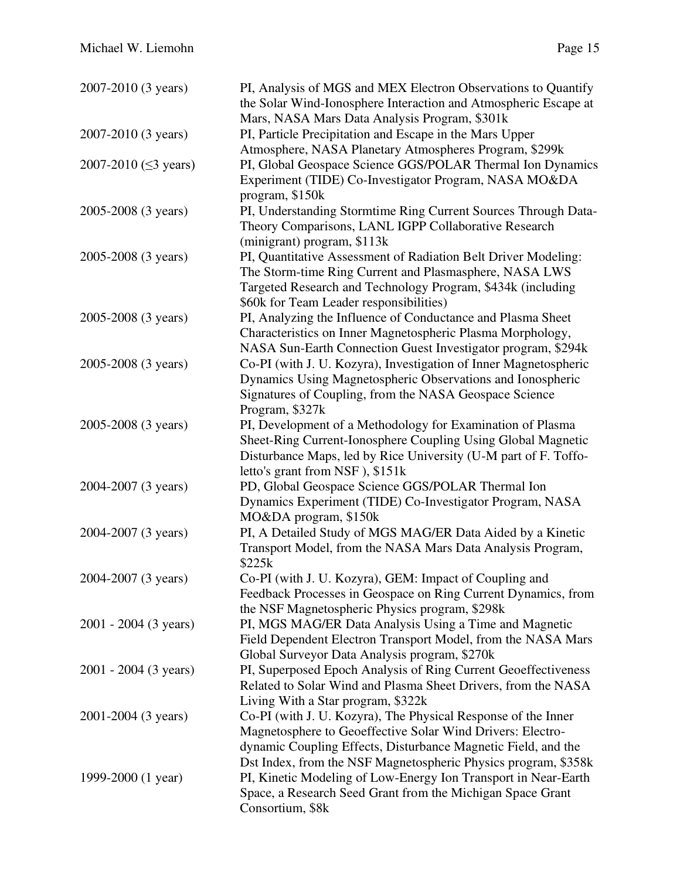| 2007-2010 (3 years)         | PI, Analysis of MGS and MEX Electron Observations to Quantify    |
|-----------------------------|------------------------------------------------------------------|
|                             | the Solar Wind-Ionosphere Interaction and Atmospheric Escape at  |
|                             | Mars, NASA Mars Data Analysis Program, \$301k                    |
| 2007-2010 (3 years)         | PI, Particle Precipitation and Escape in the Mars Upper          |
|                             | Atmosphere, NASA Planetary Atmospheres Program, \$299k           |
| 2007-2010 ( $\leq$ 3 years) | PI, Global Geospace Science GGS/POLAR Thermal Ion Dynamics       |
|                             | Experiment (TIDE) Co-Investigator Program, NASA MO&DA            |
|                             | program, \$150k                                                  |
| 2005-2008 (3 years)         | PI, Understanding Stormtime Ring Current Sources Through Data-   |
|                             | Theory Comparisons, LANL IGPP Collaborative Research             |
|                             | (minigrant) program, \$113k                                      |
| 2005-2008 (3 years)         | PI, Quantitative Assessment of Radiation Belt Driver Modeling:   |
|                             | The Storm-time Ring Current and Plasmasphere, NASA LWS           |
|                             |                                                                  |
|                             | Targeted Research and Technology Program, \$434k (including      |
|                             | \$60k for Team Leader responsibilities)                          |
| 2005-2008 (3 years)         | PI, Analyzing the Influence of Conductance and Plasma Sheet      |
|                             | Characteristics on Inner Magnetospheric Plasma Morphology,       |
|                             | NASA Sun-Earth Connection Guest Investigator program, \$294k     |
| 2005-2008 (3 years)         | Co-PI (with J. U. Kozyra), Investigation of Inner Magnetospheric |
|                             | Dynamics Using Magnetospheric Observations and Ionospheric       |
|                             | Signatures of Coupling, from the NASA Geospace Science           |
|                             | Program, \$327k                                                  |
| 2005-2008 (3 years)         | PI, Development of a Methodology for Examination of Plasma       |
|                             | Sheet-Ring Current-Ionosphere Coupling Using Global Magnetic     |
|                             | Disturbance Maps, led by Rice University (U-M part of F. Toffo-  |
|                             | letto's grant from NSF), \$151k                                  |
| 2004-2007 (3 years)         | PD, Global Geospace Science GGS/POLAR Thermal Ion                |
|                             | Dynamics Experiment (TIDE) Co-Investigator Program, NASA         |
|                             | MO&DA program, \$150k                                            |
| 2004-2007 (3 years)         | PI, A Detailed Study of MGS MAG/ER Data Aided by a Kinetic       |
|                             | Transport Model, from the NASA Mars Data Analysis Program,       |
|                             | \$225k                                                           |
| 2004-2007 (3 years)         | Co-PI (with J. U. Kozyra), GEM: Impact of Coupling and           |
|                             | Feedback Processes in Geospace on Ring Current Dynamics, from    |
|                             | the NSF Magnetospheric Physics program, \$298k                   |
| 2001 - 2004 (3 years)       | PI, MGS MAG/ER Data Analysis Using a Time and Magnetic           |
|                             | Field Dependent Electron Transport Model, from the NASA Mars     |
|                             | Global Surveyor Data Analysis program, \$270k                    |
| 2001 - 2004 (3 years)       | PI, Superposed Epoch Analysis of Ring Current Geoeffectiveness   |
|                             | Related to Solar Wind and Plasma Sheet Drivers, from the NASA    |
|                             | Living With a Star program, \$322k                               |
|                             |                                                                  |
| 2001-2004 (3 years)         | Co-PI (with J. U. Kozyra), The Physical Response of the Inner    |
|                             | Magnetosphere to Geoeffective Solar Wind Drivers: Electro-       |
|                             | dynamic Coupling Effects, Disturbance Magnetic Field, and the    |
|                             | Dst Index, from the NSF Magnetospheric Physics program, \$358k   |
| 1999-2000 (1 year)          | PI, Kinetic Modeling of Low-Energy Ion Transport in Near-Earth   |
|                             | Space, a Research Seed Grant from the Michigan Space Grant       |
|                             | Consortium, \$8k                                                 |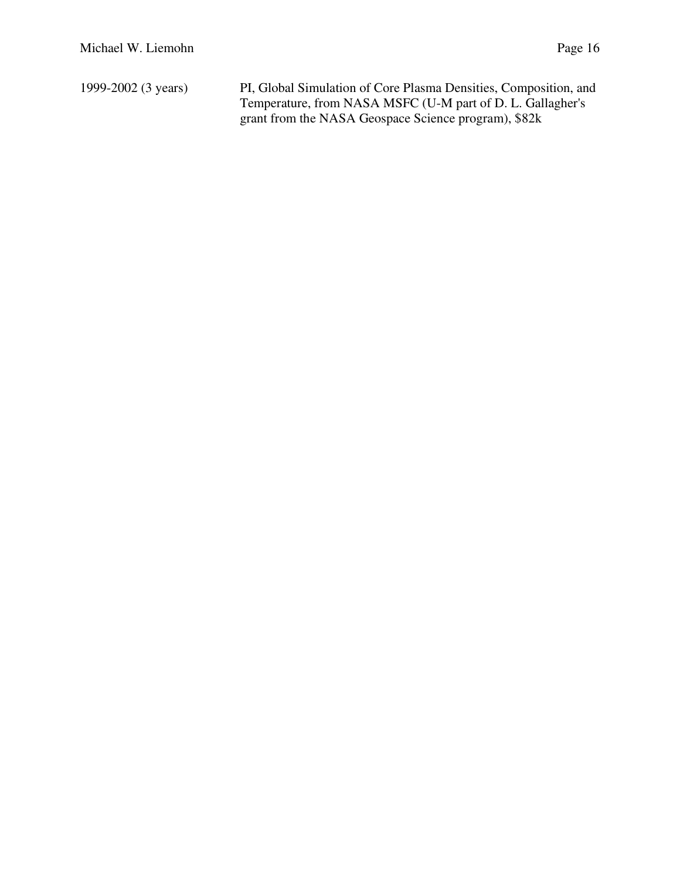1999-2002 (3 years) PI, Global Simulation of Core Plasma Densities, Composition, and Temperature, from NASA MSFC (U-M part of D. L. Gallagher's grant from the NASA Geospace Science program), \$82k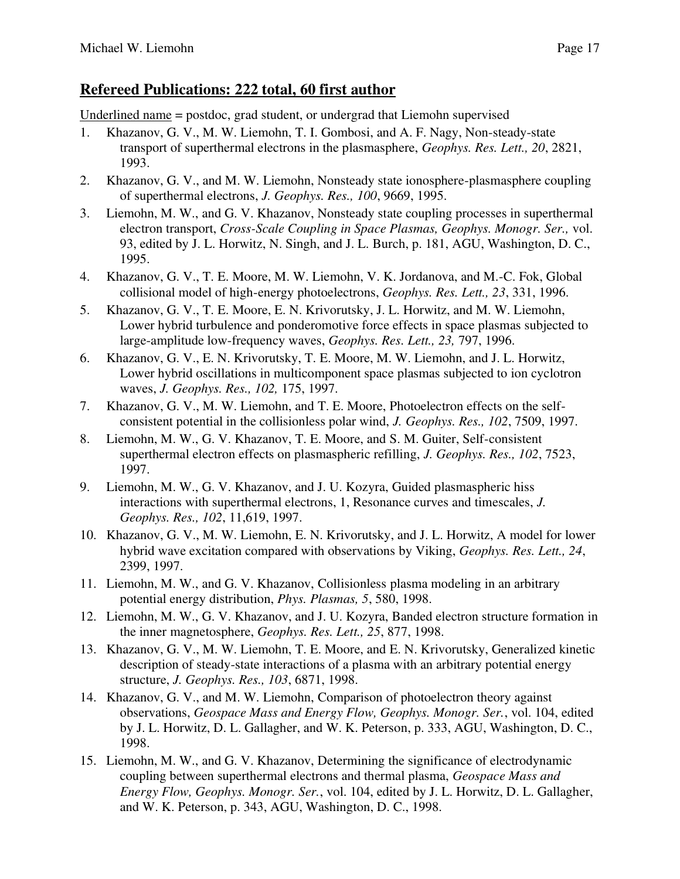### **Refereed Publications: 222 total, 60 first author**

Underlined name = postdoc, grad student, or undergrad that Liemohn supervised

- 1. Khazanov, G. V., M. W. Liemohn, T. I. Gombosi, and A. F. Nagy, Non-steady-state transport of superthermal electrons in the plasmasphere, *Geophys. Res. Lett., 20*, 2821, 1993.
- 2. Khazanov, G. V., and M. W. Liemohn, Nonsteady state ionosphere-plasmasphere coupling of superthermal electrons, *J. Geophys. Res., 100*, 9669, 1995.
- 3. Liemohn, M. W., and G. V. Khazanov, Nonsteady state coupling processes in superthermal electron transport, *Cross-Scale Coupling in Space Plasmas, Geophys. Monogr. Ser.,* vol. 93, edited by J. L. Horwitz, N. Singh, and J. L. Burch, p. 181, AGU, Washington, D. C., 1995.
- 4. Khazanov, G. V., T. E. Moore, M. W. Liemohn, V. K. Jordanova, and M.-C. Fok, Global collisional model of high-energy photoelectrons, *Geophys. Res. Lett., 23*, 331, 1996.
- 5. Khazanov, G. V., T. E. Moore, E. N. Krivorutsky, J. L. Horwitz, and M. W. Liemohn, Lower hybrid turbulence and ponderomotive force effects in space plasmas subjected to large-amplitude low-frequency waves, *Geophys. Res. Lett., 23,* 797, 1996.
- 6. Khazanov, G. V., E. N. Krivorutsky, T. E. Moore, M. W. Liemohn, and J. L. Horwitz, Lower hybrid oscillations in multicomponent space plasmas subjected to ion cyclotron waves, *J. Geophys. Res., 102,* 175, 1997.
- 7. Khazanov, G. V., M. W. Liemohn, and T. E. Moore, Photoelectron effects on the selfconsistent potential in the collisionless polar wind, *J. Geophys. Res., 102*, 7509, 1997.
- 8. Liemohn, M. W., G. V. Khazanov, T. E. Moore, and S. M. Guiter, Self-consistent superthermal electron effects on plasmaspheric refilling, *J. Geophys. Res., 102*, 7523, 1997.
- 9. Liemohn, M. W., G. V. Khazanov, and J. U. Kozyra, Guided plasmaspheric hiss interactions with superthermal electrons, 1, Resonance curves and timescales, *J. Geophys. Res., 102*, 11,619, 1997.
- 10. Khazanov, G. V., M. W. Liemohn, E. N. Krivorutsky, and J. L. Horwitz, A model for lower hybrid wave excitation compared with observations by Viking, *Geophys. Res. Lett., 24*, 2399, 1997.
- 11. Liemohn, M. W., and G. V. Khazanov, Collisionless plasma modeling in an arbitrary potential energy distribution, *Phys. Plasmas, 5*, 580, 1998.
- 12. Liemohn, M. W., G. V. Khazanov, and J. U. Kozyra, Banded electron structure formation in the inner magnetosphere, *Geophys. Res. Lett., 25*, 877, 1998.
- 13. Khazanov, G. V., M. W. Liemohn, T. E. Moore, and E. N. Krivorutsky, Generalized kinetic description of steady-state interactions of a plasma with an arbitrary potential energy structure, *J. Geophys. Res., 103*, 6871, 1998.
- 14. Khazanov, G. V., and M. W. Liemohn, Comparison of photoelectron theory against observations, *Geospace Mass and Energy Flow, Geophys. Monogr. Ser.*, vol. 104, edited by J. L. Horwitz, D. L. Gallagher, and W. K. Peterson, p. 333, AGU, Washington, D. C., 1998.
- 15. Liemohn, M. W., and G. V. Khazanov, Determining the significance of electrodynamic coupling between superthermal electrons and thermal plasma, *Geospace Mass and Energy Flow, Geophys. Monogr. Ser.*, vol. 104, edited by J. L. Horwitz, D. L. Gallagher, and W. K. Peterson, p. 343, AGU, Washington, D. C., 1998.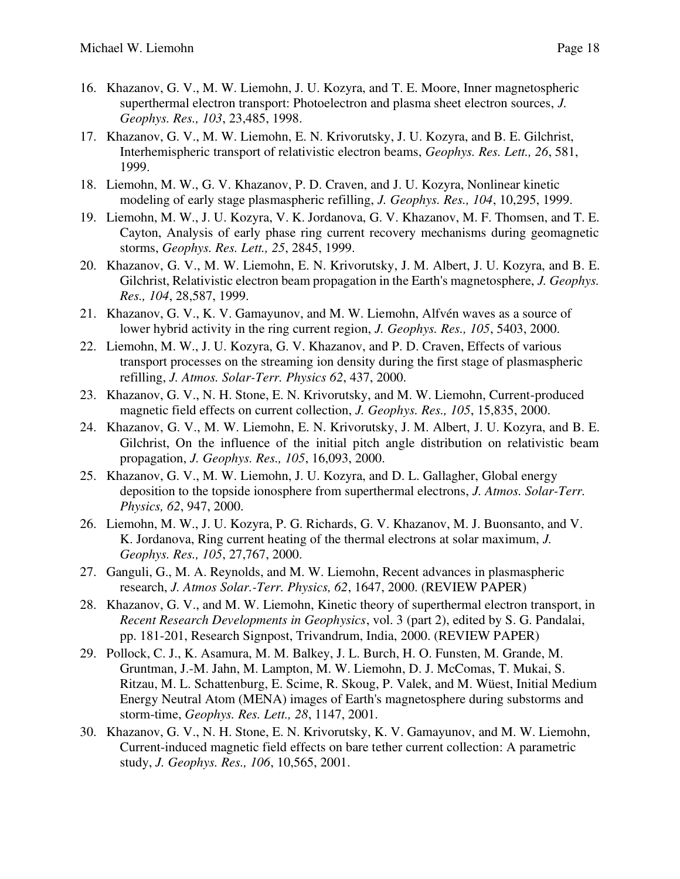- 16. Khazanov, G. V., M. W. Liemohn, J. U. Kozyra, and T. E. Moore, Inner magnetospheric superthermal electron transport: Photoelectron and plasma sheet electron sources, *J. Geophys. Res., 103*, 23,485, 1998.
- 17. Khazanov, G. V., M. W. Liemohn, E. N. Krivorutsky, J. U. Kozyra, and B. E. Gilchrist, Interhemispheric transport of relativistic electron beams, *Geophys. Res. Lett., 26*, 581, 1999.
- 18. Liemohn, M. W., G. V. Khazanov, P. D. Craven, and J. U. Kozyra, Nonlinear kinetic modeling of early stage plasmaspheric refilling, *J. Geophys. Res., 104*, 10,295, 1999.
- 19. Liemohn, M. W., J. U. Kozyra, V. K. Jordanova, G. V. Khazanov, M. F. Thomsen, and T. E. Cayton, Analysis of early phase ring current recovery mechanisms during geomagnetic storms, *Geophys. Res. Lett., 25*, 2845, 1999.
- 20. Khazanov, G. V., M. W. Liemohn, E. N. Krivorutsky, J. M. Albert, J. U. Kozyra, and B. E. Gilchrist, Relativistic electron beam propagation in the Earth's magnetosphere, *J. Geophys. Res., 104*, 28,587, 1999.
- 21. Khazanov, G. V., K. V. Gamayunov, and M. W. Liemohn, Alfvén waves as a source of lower hybrid activity in the ring current region, *J. Geophys. Res., 105*, 5403, 2000.
- 22. Liemohn, M. W., J. U. Kozyra, G. V. Khazanov, and P. D. Craven, Effects of various transport processes on the streaming ion density during the first stage of plasmaspheric refilling, *J. Atmos. Solar-Terr. Physics 62*, 437, 2000.
- 23. Khazanov, G. V., N. H. Stone, E. N. Krivorutsky, and M. W. Liemohn, Current-produced magnetic field effects on current collection, *J. Geophys. Res., 105*, 15,835, 2000.
- 24. Khazanov, G. V., M. W. Liemohn, E. N. Krivorutsky, J. M. Albert, J. U. Kozyra, and B. E. Gilchrist, On the influence of the initial pitch angle distribution on relativistic beam propagation, *J. Geophys. Res., 105*, 16,093, 2000.
- 25. Khazanov, G. V., M. W. Liemohn, J. U. Kozyra, and D. L. Gallagher, Global energy deposition to the topside ionosphere from superthermal electrons, *J. Atmos. Solar-Terr. Physics, 62*, 947, 2000.
- 26. Liemohn, M. W., J. U. Kozyra, P. G. Richards, G. V. Khazanov, M. J. Buonsanto, and V. K. Jordanova, Ring current heating of the thermal electrons at solar maximum, *J. Geophys. Res., 105*, 27,767, 2000.
- 27. Ganguli, G., M. A. Reynolds, and M. W. Liemohn, Recent advances in plasmaspheric research, *J. Atmos Solar.-Terr. Physics, 62*, 1647, 2000. (REVIEW PAPER)
- 28. Khazanov, G. V., and M. W. Liemohn, Kinetic theory of superthermal electron transport, in *Recent Research Developments in Geophysics*, vol. 3 (part 2), edited by S. G. Pandalai, pp. 181-201, Research Signpost, Trivandrum, India, 2000. (REVIEW PAPER)
- 29. Pollock, C. J., K. Asamura, M. M. Balkey, J. L. Burch, H. O. Funsten, M. Grande, M. Gruntman, J.-M. Jahn, M. Lampton, M. W. Liemohn, D. J. McComas, T. Mukai, S. Ritzau, M. L. Schattenburg, E. Scime, R. Skoug, P. Valek, and M. Wüest, Initial Medium Energy Neutral Atom (MENA) images of Earth's magnetosphere during substorms and storm-time, *Geophys. Res. Lett., 28*, 1147, 2001.
- 30. Khazanov, G. V., N. H. Stone, E. N. Krivorutsky, K. V. Gamayunov, and M. W. Liemohn, Current-induced magnetic field effects on bare tether current collection: A parametric study, *J. Geophys. Res., 106*, 10,565, 2001.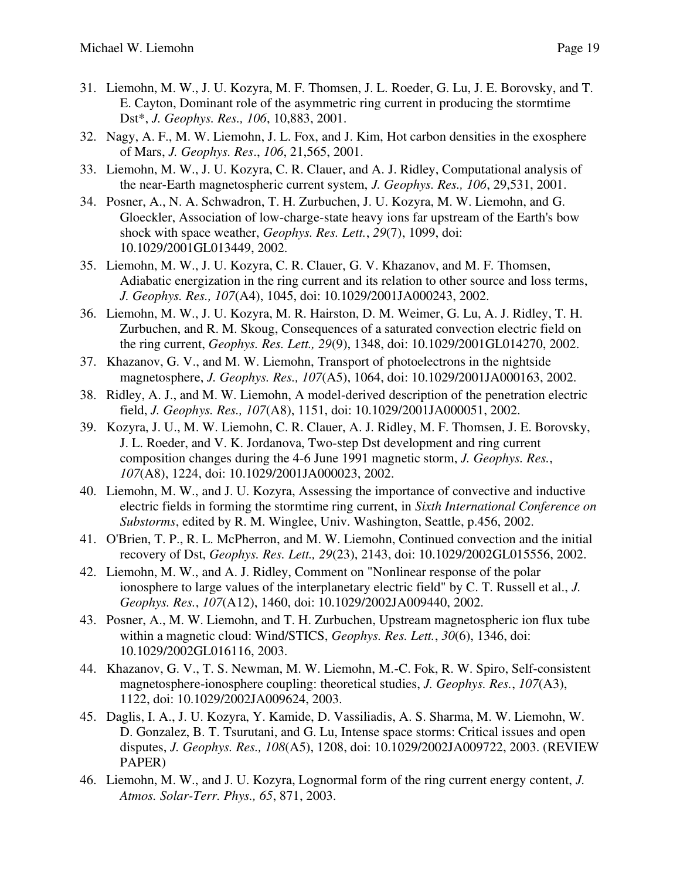- 31. Liemohn, M. W., J. U. Kozyra, M. F. Thomsen, J. L. Roeder, G. Lu, J. E. Borovsky, and T. E. Cayton, Dominant role of the asymmetric ring current in producing the stormtime Dst\*, *J. Geophys. Res., 106*, 10,883, 2001.
- 32. Nagy, A. F., M. W. Liemohn, J. L. Fox, and J. Kim, Hot carbon densities in the exosphere of Mars, *J. Geophys. Res*., *106*, 21,565, 2001.
- 33. Liemohn, M. W., J. U. Kozyra, C. R. Clauer, and A. J. Ridley, Computational analysis of the near-Earth magnetospheric current system, *J. Geophys. Res., 106*, 29,531, 2001.
- 34. Posner, A., N. A. Schwadron, T. H. Zurbuchen, J. U. Kozyra, M. W. Liemohn, and G. Gloeckler, Association of low-charge-state heavy ions far upstream of the Earth's bow shock with space weather, *Geophys. Res. Lett.*, *29*(7), 1099, doi: 10.1029/2001GL013449, 2002.
- 35. Liemohn, M. W., J. U. Kozyra, C. R. Clauer, G. V. Khazanov, and M. F. Thomsen, Adiabatic energization in the ring current and its relation to other source and loss terms, *J. Geophys. Res., 107*(A4), 1045, doi: 10.1029/2001JA000243, 2002.
- 36. Liemohn, M. W., J. U. Kozyra, M. R. Hairston, D. M. Weimer, G. Lu, A. J. Ridley, T. H. Zurbuchen, and R. M. Skoug, Consequences of a saturated convection electric field on the ring current, *Geophys. Res. Lett., 29*(9), 1348, doi: 10.1029/2001GL014270, 2002.
- 37. Khazanov, G. V., and M. W. Liemohn, Transport of photoelectrons in the nightside magnetosphere, *J. Geophys. Res., 107*(A5), 1064, doi: 10.1029/2001JA000163, 2002.
- 38. Ridley, A. J., and M. W. Liemohn, A model-derived description of the penetration electric field, *J. Geophys. Res., 107*(A8), 1151, doi: 10.1029/2001JA000051, 2002.
- 39. Kozyra, J. U., M. W. Liemohn, C. R. Clauer, A. J. Ridley, M. F. Thomsen, J. E. Borovsky, J. L. Roeder, and V. K. Jordanova, Two-step Dst development and ring current composition changes during the 4-6 June 1991 magnetic storm, *J. Geophys. Res.*, *107*(A8), 1224, doi: 10.1029/2001JA000023, 2002.
- 40. Liemohn, M. W., and J. U. Kozyra, Assessing the importance of convective and inductive electric fields in forming the stormtime ring current, in *Sixth International Conference on Substorms*, edited by R. M. Winglee, Univ. Washington, Seattle, p.456, 2002.
- 41. O'Brien, T. P., R. L. McPherron, and M. W. Liemohn, Continued convection and the initial recovery of Dst, *Geophys. Res. Lett., 29*(23), 2143, doi: 10.1029/2002GL015556, 2002.
- 42. Liemohn, M. W., and A. J. Ridley, Comment on "Nonlinear response of the polar ionosphere to large values of the interplanetary electric field" by C. T. Russell et al., *J. Geophys. Res.*, *107*(A12), 1460, doi: 10.1029/2002JA009440, 2002.
- 43. Posner, A., M. W. Liemohn, and T. H. Zurbuchen, Upstream magnetospheric ion flux tube within a magnetic cloud: Wind/STICS, *Geophys. Res. Lett.*, *30*(6), 1346, doi: 10.1029/2002GL016116, 2003.
- 44. Khazanov, G. V., T. S. Newman, M. W. Liemohn, M.-C. Fok, R. W. Spiro, Self-consistent magnetosphere-ionosphere coupling: theoretical studies, *J. Geophys. Res.*, *107*(A3), 1122, doi: 10.1029/2002JA009624, 2003.
- 45. Daglis, I. A., J. U. Kozyra, Y. Kamide, D. Vassiliadis, A. S. Sharma, M. W. Liemohn, W. D. Gonzalez, B. T. Tsurutani, and G. Lu, Intense space storms: Critical issues and open disputes, *J. Geophys. Res., 108*(A5), 1208, doi: 10.1029/2002JA009722, 2003. (REVIEW PAPER)
- 46. Liemohn, M. W., and J. U. Kozyra, Lognormal form of the ring current energy content, *J. Atmos. Solar-Terr. Phys., 65*, 871, 2003.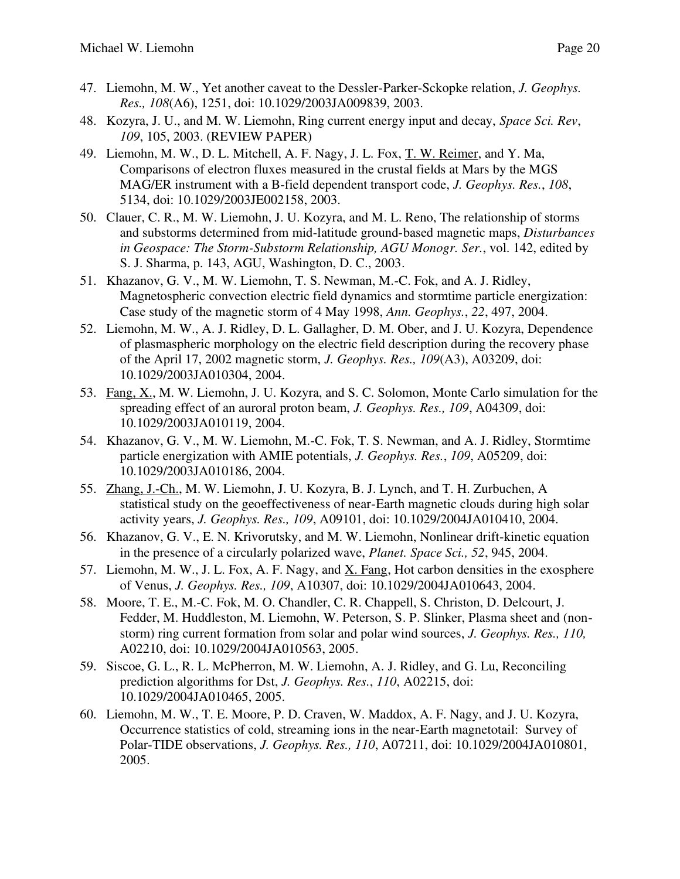- 47. Liemohn, M. W., Yet another caveat to the Dessler-Parker-Sckopke relation, *J. Geophys. Res., 108*(A6), 1251, doi: 10.1029/2003JA009839, 2003.
- 48. Kozyra, J. U., and M. W. Liemohn, Ring current energy input and decay, *Space Sci. Rev*, *109*, 105, 2003. (REVIEW PAPER)
- 49. Liemohn, M. W., D. L. Mitchell, A. F. Nagy, J. L. Fox, T. W. Reimer, and Y. Ma, Comparisons of electron fluxes measured in the crustal fields at Mars by the MGS MAG/ER instrument with a B-field dependent transport code, *J. Geophys. Res.*, *108*, 5134, doi: 10.1029/2003JE002158, 2003.
- 50. Clauer, C. R., M. W. Liemohn, J. U. Kozyra, and M. L. Reno, The relationship of storms and substorms determined from mid-latitude ground-based magnetic maps, *Disturbances in Geospace: The Storm-Substorm Relationship, AGU Monogr. Ser.*, vol. 142, edited by S. J. Sharma, p. 143, AGU, Washington, D. C., 2003.
- 51. Khazanov, G. V., M. W. Liemohn, T. S. Newman, M.-C. Fok, and A. J. Ridley, Magnetospheric convection electric field dynamics and stormtime particle energization: Case study of the magnetic storm of 4 May 1998, *Ann. Geophys.*, *22*, 497, 2004.
- 52. Liemohn, M. W., A. J. Ridley, D. L. Gallagher, D. M. Ober, and J. U. Kozyra, Dependence of plasmaspheric morphology on the electric field description during the recovery phase of the April 17, 2002 magnetic storm, *J. Geophys. Res., 109*(A3), A03209, doi: 10.1029/2003JA010304, 2004.
- 53. Fang, X., M. W. Liemohn, J. U. Kozyra, and S. C. Solomon, Monte Carlo simulation for the spreading effect of an auroral proton beam, *J. Geophys. Res., 109*, A04309, doi: 10.1029/2003JA010119, 2004.
- 54. Khazanov, G. V., M. W. Liemohn, M.-C. Fok, T. S. Newman, and A. J. Ridley, Stormtime particle energization with AMIE potentials, *J. Geophys. Res.*, *109*, A05209, doi: 10.1029/2003JA010186, 2004.
- 55. Zhang, J.-Ch., M. W. Liemohn, J. U. Kozyra, B. J. Lynch, and T. H. Zurbuchen, A statistical study on the geoeffectiveness of near-Earth magnetic clouds during high solar activity years, *J. Geophys. Res., 109*, A09101, doi: 10.1029/2004JA010410, 2004.
- 56. Khazanov, G. V., E. N. Krivorutsky, and M. W. Liemohn, Nonlinear drift-kinetic equation in the presence of a circularly polarized wave, *Planet. Space Sci., 52*, 945, 2004.
- 57. Liemohn, M. W., J. L. Fox, A. F. Nagy, and X. Fang, Hot carbon densities in the exosphere of Venus, *J. Geophys. Res., 109*, A10307, doi: 10.1029/2004JA010643, 2004.
- 58. Moore, T. E., M.-C. Fok, M. O. Chandler, C. R. Chappell, S. Christon, D. Delcourt, J. Fedder, M. Huddleston, M. Liemohn, W. Peterson, S. P. Slinker, Plasma sheet and (nonstorm) ring current formation from solar and polar wind sources, *J. Geophys. Res., 110,* A02210, doi: 10.1029/2004JA010563, 2005.
- 59. Siscoe, G. L., R. L. McPherron, M. W. Liemohn, A. J. Ridley, and G. Lu, Reconciling prediction algorithms for Dst, *J. Geophys. Res.*, *110*, A02215, doi: 10.1029/2004JA010465, 2005.
- 60. Liemohn, M. W., T. E. Moore, P. D. Craven, W. Maddox, A. F. Nagy, and J. U. Kozyra, Occurrence statistics of cold, streaming ions in the near-Earth magnetotail: Survey of Polar-TIDE observations, *J. Geophys. Res., 110*, A07211, doi: 10.1029/2004JA010801, 2005.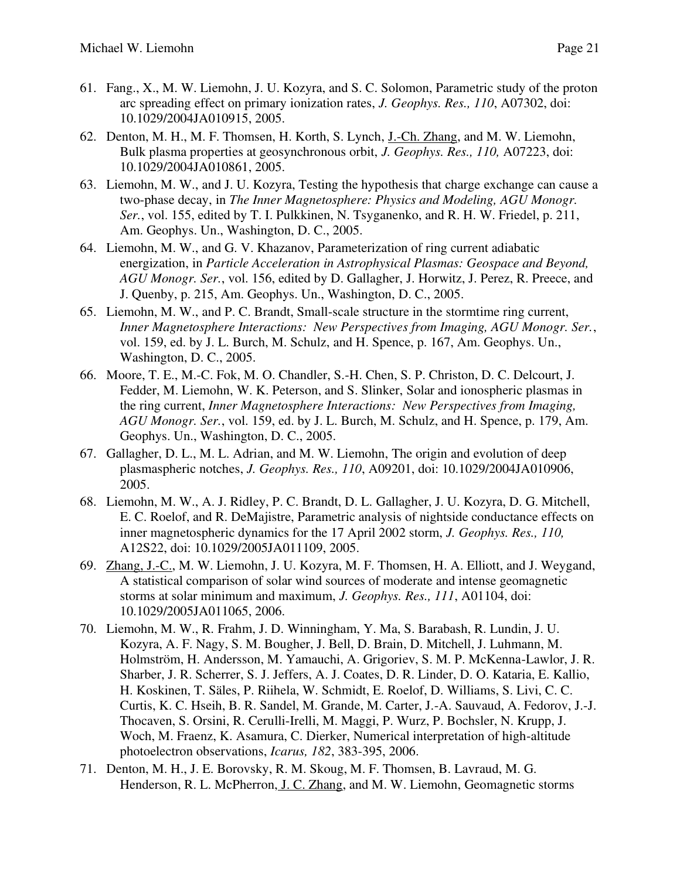- 61. Fang., X., M. W. Liemohn, J. U. Kozyra, and S. C. Solomon, Parametric study of the proton arc spreading effect on primary ionization rates, *J. Geophys. Res., 110*, A07302, doi: 10.1029/2004JA010915, 2005.
- 62. Denton, M. H., M. F. Thomsen, H. Korth, S. Lynch, J.-Ch. Zhang, and M. W. Liemohn, Bulk plasma properties at geosynchronous orbit, *J. Geophys. Res., 110,* A07223, doi: 10.1029/2004JA010861, 2005.
- 63. Liemohn, M. W., and J. U. Kozyra, Testing the hypothesis that charge exchange can cause a two-phase decay, in *The Inner Magnetosphere: Physics and Modeling, AGU Monogr. Ser.*, vol. 155, edited by T. I. Pulkkinen, N. Tsyganenko, and R. H. W. Friedel, p. 211, Am. Geophys. Un., Washington, D. C., 2005.
- 64. Liemohn, M. W., and G. V. Khazanov, Parameterization of ring current adiabatic energization, in *Particle Acceleration in Astrophysical Plasmas: Geospace and Beyond, AGU Monogr. Ser.*, vol. 156, edited by D. Gallagher, J. Horwitz, J. Perez, R. Preece, and J. Quenby, p. 215, Am. Geophys. Un., Washington, D. C., 2005.
- 65. Liemohn, M. W., and P. C. Brandt, Small-scale structure in the stormtime ring current, *Inner Magnetosphere Interactions: New Perspectives from Imaging, AGU Monogr. Ser.*, vol. 159, ed. by J. L. Burch, M. Schulz, and H. Spence, p. 167, Am. Geophys. Un., Washington, D. C., 2005.
- 66. Moore, T. E., M.-C. Fok, M. O. Chandler, S.-H. Chen, S. P. Christon, D. C. Delcourt, J. Fedder, M. Liemohn, W. K. Peterson, and S. Slinker, Solar and ionospheric plasmas in the ring current, *Inner Magnetosphere Interactions: New Perspectives from Imaging, AGU Monogr. Ser.*, vol. 159, ed. by J. L. Burch, M. Schulz, and H. Spence, p. 179, Am. Geophys. Un., Washington, D. C., 2005.
- 67. Gallagher, D. L., M. L. Adrian, and M. W. Liemohn, The origin and evolution of deep plasmaspheric notches, *J. Geophys. Res., 110*, A09201, doi: 10.1029/2004JA010906, 2005.
- 68. Liemohn, M. W., A. J. Ridley, P. C. Brandt, D. L. Gallagher, J. U. Kozyra, D. G. Mitchell, E. C. Roelof, and R. DeMajistre, Parametric analysis of nightside conductance effects on inner magnetospheric dynamics for the 17 April 2002 storm, *J. Geophys. Res., 110,* A12S22, doi: 10.1029/2005JA011109, 2005.
- 69. Zhang, J.-C., M. W. Liemohn, J. U. Kozyra, M. F. Thomsen, H. A. Elliott, and J. Weygand, A statistical comparison of solar wind sources of moderate and intense geomagnetic storms at solar minimum and maximum, *J. Geophys. Res., 111*, A01104, doi: 10.1029/2005JA011065, 2006.
- 70. Liemohn, M. W., R. Frahm, J. D. Winningham, Y. Ma, S. Barabash, R. Lundin, J. U. Kozyra, A. F. Nagy, S. M. Bougher, J. Bell, D. Brain, D. Mitchell, J. Luhmann, M. Holmström, H. Andersson, M. Yamauchi, A. Grigoriev, S. M. P. McKenna-Lawlor, J. R. Sharber, J. R. Scherrer, S. J. Jeffers, A. J. Coates, D. R. Linder, D. O. Kataria, E. Kallio, H. Koskinen, T. Säles, P. Riihela, W. Schmidt, E. Roelof, D. Williams, S. Livi, C. C. Curtis, K. C. Hseih, B. R. Sandel, M. Grande, M. Carter, J.-A. Sauvaud, A. Fedorov, J.-J. Thocaven, S. Orsini, R. Cerulli-Irelli, M. Maggi, P. Wurz, P. Bochsler, N. Krupp, J. Woch, M. Fraenz, K. Asamura, C. Dierker, Numerical interpretation of high-altitude photoelectron observations, *Icarus, 182*, 383-395, 2006.
- 71. Denton, M. H., J. E. Borovsky, R. M. Skoug, M. F. Thomsen, B. Lavraud, M. G. Henderson, R. L. McPherron, J. C. Zhang, and M. W. Liemohn, Geomagnetic storms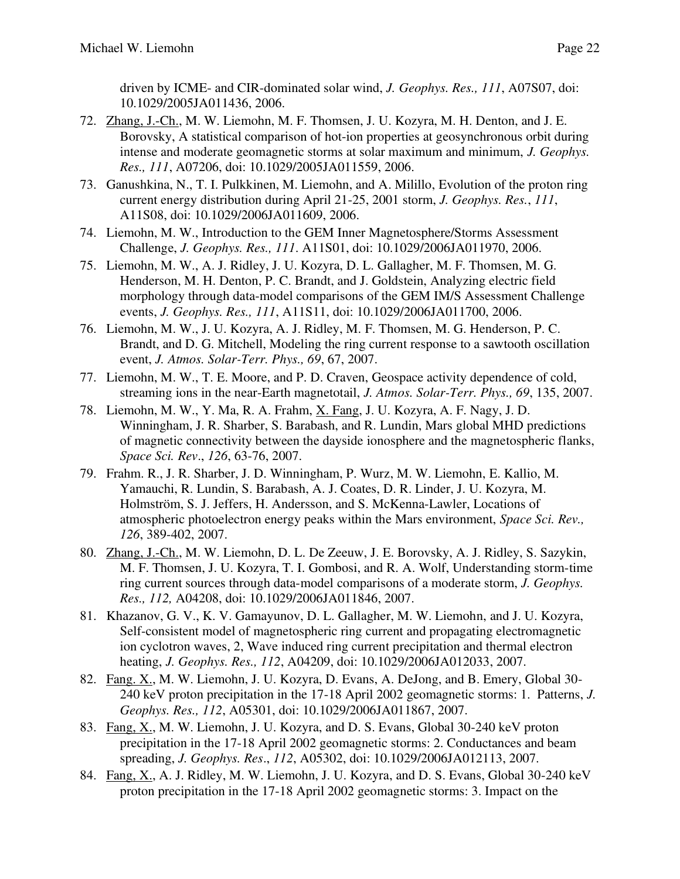driven by ICME- and CIR-dominated solar wind, *J. Geophys. Res., 111*, A07S07, doi: 10.1029/2005JA011436, 2006.

- 72. Zhang, J.-Ch., M. W. Liemohn, M. F. Thomsen, J. U. Kozyra, M. H. Denton, and J. E. Borovsky, A statistical comparison of hot-ion properties at geosynchronous orbit during intense and moderate geomagnetic storms at solar maximum and minimum, *J. Geophys. Res., 111*, A07206, doi: 10.1029/2005JA011559, 2006.
- 73. Ganushkina, N., T. I. Pulkkinen, M. Liemohn, and A. Milillo, Evolution of the proton ring current energy distribution during April 21-25, 2001 storm, *J. Geophys. Res.*, *111*, A11S08, doi: 10.1029/2006JA011609, 2006.
- 74. Liemohn, M. W., Introduction to the GEM Inner Magnetosphere/Storms Assessment Challenge, *J. Geophys. Res., 111*. A11S01, doi: 10.1029/2006JA011970, 2006.
- 75. Liemohn, M. W., A. J. Ridley, J. U. Kozyra, D. L. Gallagher, M. F. Thomsen, M. G. Henderson, M. H. Denton, P. C. Brandt, and J. Goldstein, Analyzing electric field morphology through data-model comparisons of the GEM IM/S Assessment Challenge events, *J. Geophys. Res., 111*, A11S11, doi: 10.1029/2006JA011700, 2006.
- 76. Liemohn, M. W., J. U. Kozyra, A. J. Ridley, M. F. Thomsen, M. G. Henderson, P. C. Brandt, and D. G. Mitchell, Modeling the ring current response to a sawtooth oscillation event, *J. Atmos. Solar-Terr. Phys., 69*, 67, 2007.
- 77. Liemohn, M. W., T. E. Moore, and P. D. Craven, Geospace activity dependence of cold, streaming ions in the near-Earth magnetotail, *J. Atmos. Solar-Terr. Phys., 69*, 135, 2007.
- 78. Liemohn, M. W., Y. Ma, R. A. Frahm, X. Fang, J. U. Kozyra, A. F. Nagy, J. D. Winningham, J. R. Sharber, S. Barabash, and R. Lundin, Mars global MHD predictions of magnetic connectivity between the dayside ionosphere and the magnetospheric flanks, *Space Sci. Rev*., *126*, 63-76, 2007.
- 79. Frahm. R., J. R. Sharber, J. D. Winningham, P. Wurz, M. W. Liemohn, E. Kallio, M. Yamauchi, R. Lundin, S. Barabash, A. J. Coates, D. R. Linder, J. U. Kozyra, M. Holmström, S. J. Jeffers, H. Andersson, and S. McKenna-Lawler, Locations of atmospheric photoelectron energy peaks within the Mars environment, *Space Sci. Rev., 126*, 389-402, 2007.
- 80. Zhang, J.-Ch., M. W. Liemohn, D. L. De Zeeuw, J. E. Borovsky, A. J. Ridley, S. Sazykin, M. F. Thomsen, J. U. Kozyra, T. I. Gombosi, and R. A. Wolf, Understanding storm-time ring current sources through data-model comparisons of a moderate storm, *J. Geophys. Res., 112,* A04208, doi: 10.1029/2006JA011846, 2007.
- 81. Khazanov, G. V., K. V. Gamayunov, D. L. Gallagher, M. W. Liemohn, and J. U. Kozyra, Self-consistent model of magnetospheric ring current and propagating electromagnetic ion cyclotron waves, 2, Wave induced ring current precipitation and thermal electron heating, *J. Geophys. Res., 112*, A04209, doi: 10.1029/2006JA012033, 2007.
- 82. Fang. X., M. W. Liemohn, J. U. Kozyra, D. Evans, A. DeJong, and B. Emery, Global 30- 240 keV proton precipitation in the 17-18 April 2002 geomagnetic storms: 1. Patterns, *J. Geophys. Res., 112*, A05301, doi: 10.1029/2006JA011867, 2007.
- 83. Fang, X., M. W. Liemohn, J. U. Kozyra, and D. S. Evans, Global 30-240 keV proton precipitation in the 17-18 April 2002 geomagnetic storms: 2. Conductances and beam spreading, *J. Geophys. Res*., *112*, A05302, doi: 10.1029/2006JA012113, 2007.
- 84. Fang, X., A. J. Ridley, M. W. Liemohn, J. U. Kozyra, and D. S. Evans, Global 30-240 keV proton precipitation in the 17-18 April 2002 geomagnetic storms: 3. Impact on the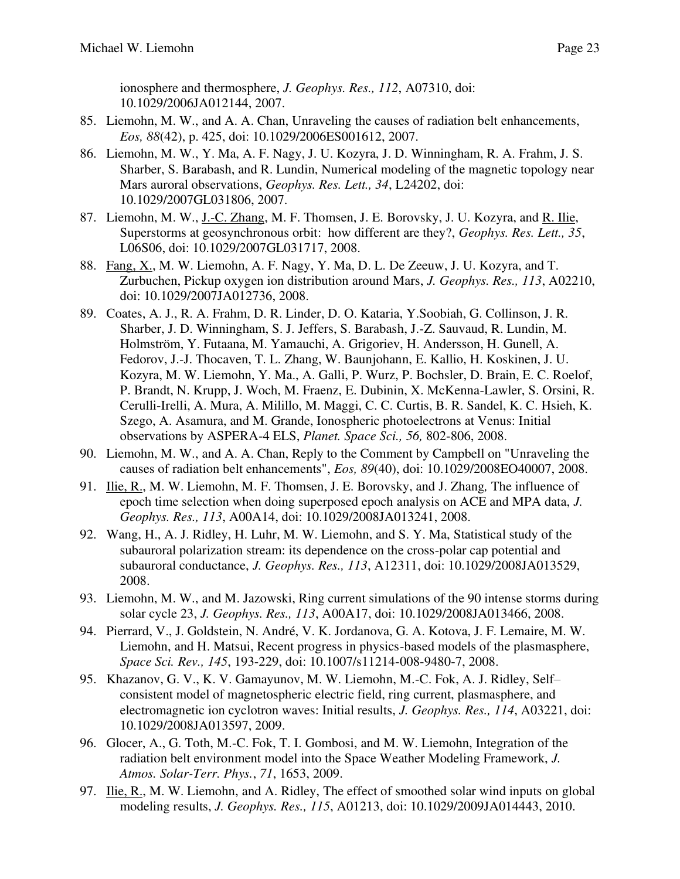ionosphere and thermosphere, *J. Geophys. Res., 112*, A07310, doi: 10.1029/2006JA012144, 2007.

- 85. Liemohn, M. W., and A. A. Chan, Unraveling the causes of radiation belt enhancements, *Eos, 88*(42), p. 425, doi: 10.1029/2006ES001612, 2007.
- 86. Liemohn, M. W., Y. Ma, A. F. Nagy, J. U. Kozyra, J. D. Winningham, R. A. Frahm, J. S. Sharber, S. Barabash, and R. Lundin, Numerical modeling of the magnetic topology near Mars auroral observations, *Geophys. Res. Lett., 34*, L24202, doi: 10.1029/2007GL031806, 2007.
- 87. Liemohn, M. W., J.-C. Zhang, M. F. Thomsen, J. E. Borovsky, J. U. Kozyra, and R. Ilie, Superstorms at geosynchronous orbit: how different are they?, *Geophys. Res. Lett., 35*, L06S06, doi: 10.1029/2007GL031717, 2008.
- 88. Fang, X., M. W. Liemohn, A. F. Nagy, Y. Ma, D. L. De Zeeuw, J. U. Kozyra, and T. Zurbuchen, Pickup oxygen ion distribution around Mars, *J. Geophys. Res., 113*, A02210, doi: 10.1029/2007JA012736, 2008.
- 89. Coates, A. J., R. A. Frahm, D. R. Linder, D. O. Kataria, Y.Soobiah, G. Collinson, J. R. Sharber, J. D. Winningham, S. J. Jeffers, S. Barabash, J.-Z. Sauvaud, R. Lundin, M. Holmström, Y. Futaana, M. Yamauchi, A. Grigoriev, H. Andersson, H. Gunell, A. Fedorov, J.-J. Thocaven, T. L. Zhang, W. Baunjohann, E. Kallio, H. Koskinen, J. U. Kozyra, M. W. Liemohn, Y. Ma., A. Galli, P. Wurz, P. Bochsler, D. Brain, E. C. Roelof, P. Brandt, N. Krupp, J. Woch, M. Fraenz, E. Dubinin, X. McKenna-Lawler, S. Orsini, R. Cerulli-Irelli, A. Mura, A. Milillo, M. Maggi, C. C. Curtis, B. R. Sandel, K. C. Hsieh, K. Szego, A. Asamura, and M. Grande, Ionospheric photoelectrons at Venus: Initial observations by ASPERA-4 ELS, *Planet. Space Sci., 56,* 802-806, 2008.
- 90. Liemohn, M. W., and A. A. Chan, Reply to the Comment by Campbell on "Unraveling the causes of radiation belt enhancements", *Eos, 89*(40), doi: 10.1029/2008EO40007, 2008.
- 91. Ilie, R., M. W. Liemohn, M. F. Thomsen, J. E. Borovsky, and J. Zhang*,* The influence of epoch time selection when doing superposed epoch analysis on ACE and MPA data, *J. Geophys. Res., 113*, A00A14, doi: 10.1029/2008JA013241, 2008.
- 92. Wang, H., A. J. Ridley, H. Luhr, M. W. Liemohn, and S. Y. Ma, Statistical study of the subauroral polarization stream: its dependence on the cross-polar cap potential and subauroral conductance, *J. Geophys. Res., 113*, A12311, doi: 10.1029/2008JA013529, 2008.
- 93. Liemohn, M. W., and M. Jazowski, Ring current simulations of the 90 intense storms during solar cycle 23, *J. Geophys. Res., 113*, A00A17, doi: 10.1029/2008JA013466, 2008.
- 94. Pierrard, V., J. Goldstein, N. André, V. K. Jordanova, G. A. Kotova, J. F. Lemaire, M. W. Liemohn, and H. Matsui, Recent progress in physics-based models of the plasmasphere, *Space Sci. Rev., 145*, 193-229, doi: 10.1007/s11214-008-9480-7, 2008.
- 95. Khazanov, G. V., K. V. Gamayunov, M. W. Liemohn, M.-C. Fok, A. J. Ridley, Self– consistent model of magnetospheric electric field, ring current, plasmasphere, and electromagnetic ion cyclotron waves: Initial results, *J. Geophys. Res., 114*, A03221, doi: 10.1029/2008JA013597, 2009.
- 96. Glocer, A., G. Toth, M.-C. Fok, T. I. Gombosi, and M. W. Liemohn, Integration of the radiation belt environment model into the Space Weather Modeling Framework, *J. Atmos. Solar-Terr. Phys.*, *71*, 1653, 2009.
- 97. Ilie, R., M. W. Liemohn, and A. Ridley, The effect of smoothed solar wind inputs on global modeling results, *J. Geophys. Res., 115*, A01213, doi: 10.1029/2009JA014443, 2010.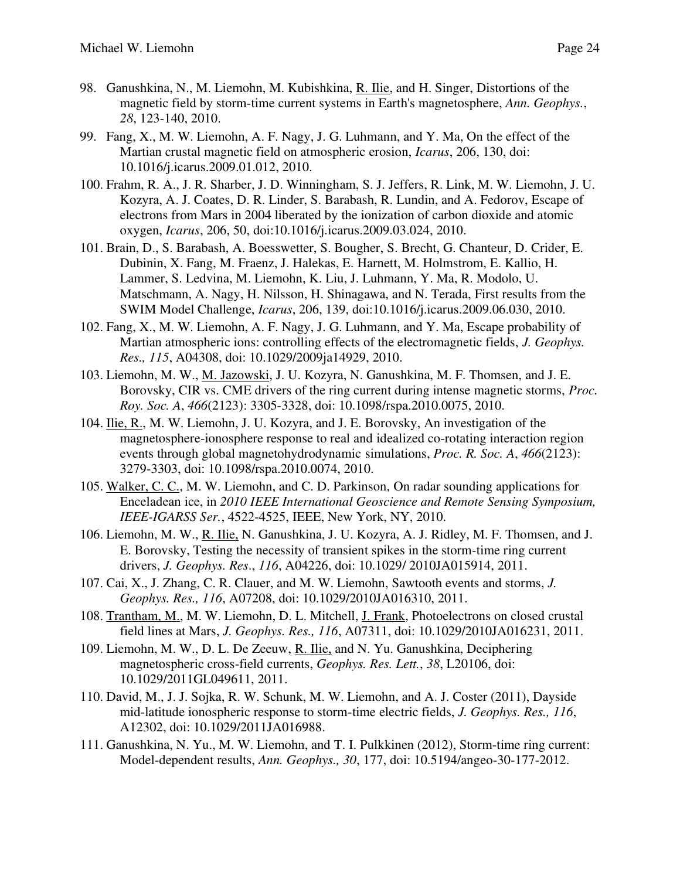- 98. Ganushkina, N., M. Liemohn, M. Kubishkina, R. Ilie, and H. Singer, Distortions of the magnetic field by storm-time current systems in Earth's magnetosphere, *Ann. Geophys.*, *28*, 123-140, 2010.
- 99. Fang, X., M. W. Liemohn, A. F. Nagy, J. G. Luhmann, and Y. Ma, On the effect of the Martian crustal magnetic field on atmospheric erosion, *Icarus*, 206, 130, doi: 10.1016/j.icarus.2009.01.012, 2010.
- 100. Frahm, R. A., J. R. Sharber, J. D. Winningham, S. J. Jeffers, R. Link, M. W. Liemohn, J. U. Kozyra, A. J. Coates, D. R. Linder, S. Barabash, R. Lundin, and A. Fedorov, Escape of electrons from Mars in 2004 liberated by the ionization of carbon dioxide and atomic oxygen, *Icarus*, 206, 50, doi:10.1016/j.icarus.2009.03.024, 2010.
- 101. Brain, D., S. Barabash, A. Boesswetter, S. Bougher, S. Brecht, G. Chanteur, D. Crider, E. Dubinin, X. Fang, M. Fraenz, J. Halekas, E. Harnett, M. Holmstrom, E. Kallio, H. Lammer, S. Ledvina, M. Liemohn, K. Liu, J. Luhmann, Y. Ma, R. Modolo, U. Matschmann, A. Nagy, H. Nilsson, H. Shinagawa, and N. Terada, First results from the SWIM Model Challenge, *Icarus*, 206, 139, doi:10.1016/j.icarus.2009.06.030, 2010.
- 102. Fang, X., M. W. Liemohn, A. F. Nagy, J. G. Luhmann, and Y. Ma, Escape probability of Martian atmospheric ions: controlling effects of the electromagnetic fields, *J. Geophys. Res., 115*, A04308, doi: 10.1029/2009ja14929, 2010.
- 103. Liemohn, M. W., M. Jazowski, J. U. Kozyra, N. Ganushkina, M. F. Thomsen, and J. E. Borovsky, CIR vs. CME drivers of the ring current during intense magnetic storms, *Proc. Roy. Soc. A*, *466*(2123): 3305-3328, doi: 10.1098/rspa.2010.0075, 2010.
- 104. Ilie, R., M. W. Liemohn, J. U. Kozyra, and J. E. Borovsky, An investigation of the magnetosphere-ionosphere response to real and idealized co-rotating interaction region events through global magnetohydrodynamic simulations, *Proc. R. Soc. A*, *466*(2123): 3279-3303, doi: 10.1098/rspa.2010.0074, 2010.
- 105. Walker, C. C., M. W. Liemohn, and C. D. Parkinson, On radar sounding applications for Enceladean ice, in *2010 IEEE International Geoscience and Remote Sensing Symposium, IEEE-IGARSS Ser.*, 4522-4525, IEEE, New York, NY, 2010.
- 106. Liemohn, M. W., R. Ilie, N. Ganushkina, J. U. Kozyra, A. J. Ridley, M. F. Thomsen, and J. E. Borovsky, Testing the necessity of transient spikes in the storm-time ring current drivers, *J. Geophys. Res*., *116*, A04226, doi: 10.1029/ 2010JA015914, 2011.
- 107. Cai, X., J. Zhang, C. R. Clauer, and M. W. Liemohn, Sawtooth events and storms, *J. Geophys. Res., 116*, A07208, doi: 10.1029/2010JA016310, 2011.
- 108. Trantham, M., M. W. Liemohn, D. L. Mitchell, J. Frank, Photoelectrons on closed crustal field lines at Mars, *J. Geophys. Res., 116*, A07311, doi: 10.1029/2010JA016231, 2011.
- 109. Liemohn, M. W., D. L. De Zeeuw, R. Ilie, and N. Yu. Ganushkina, Deciphering magnetospheric cross-field currents, *Geophys. Res. Lett.*, *38*, L20106, doi: 10.1029/2011GL049611, 2011.
- 110. David, M., J. J. Sojka, R. W. Schunk, M. W. Liemohn, and A. J. Coster (2011), Dayside mid-latitude ionospheric response to storm-time electric fields, *J. Geophys. Res., 116*, A12302, doi: 10.1029/2011JA016988.
- 111. Ganushkina, N. Yu., M. W. Liemohn, and T. I. Pulkkinen (2012), Storm-time ring current: Model-dependent results, *Ann. Geophys., 30*, 177, doi: 10.5194/angeo-30-177-2012.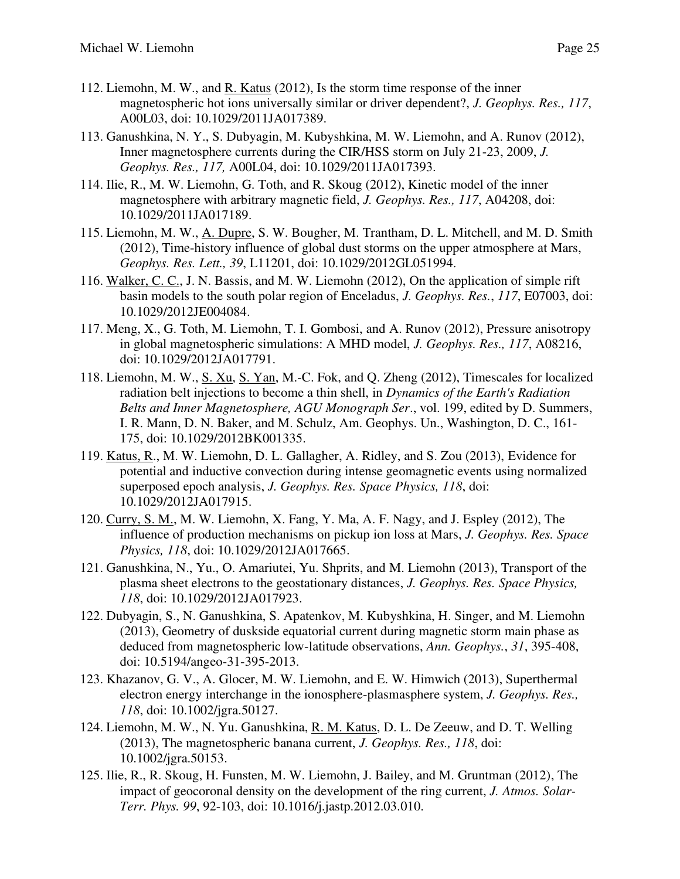- 112. Liemohn, M. W., and R. Katus (2012), Is the storm time response of the inner magnetospheric hot ions universally similar or driver dependent?, *J. Geophys. Res., 117*, A00L03, doi: 10.1029/2011JA017389.
- 113. Ganushkina, N. Y., S. Dubyagin, M. Kubyshkina, M. W. Liemohn, and A. Runov (2012), Inner magnetosphere currents during the CIR/HSS storm on July 21-23, 2009, *J. Geophys. Res., 117,* A00L04, doi: 10.1029/2011JA017393.
- 114. Ilie, R., M. W. Liemohn, G. Toth, and R. Skoug (2012), Kinetic model of the inner magnetosphere with arbitrary magnetic field, *J. Geophys. Res., 117*, A04208, doi: 10.1029/2011JA017189.
- 115. Liemohn, M. W., A. Dupre, S. W. Bougher, M. Trantham, D. L. Mitchell, and M. D. Smith (2012), Time-history influence of global dust storms on the upper atmosphere at Mars, *Geophys. Res. Lett., 39*, L11201, doi: 10.1029/2012GL051994.
- 116. Walker, C. C., J. N. Bassis, and M. W. Liemohn (2012), On the application of simple rift basin models to the south polar region of Enceladus, *J. Geophys. Res.*, *117*, E07003, doi: 10.1029/2012JE004084.
- 117. Meng, X., G. Toth, M. Liemohn, T. I. Gombosi, and A. Runov (2012), Pressure anisotropy in global magnetospheric simulations: A MHD model, *J. Geophys. Res., 117*, A08216, doi: 10.1029/2012JA017791.
- 118. Liemohn, M. W., S. Xu, S. Yan, M.-C. Fok, and Q. Zheng (2012), Timescales for localized radiation belt injections to become a thin shell, in *Dynamics of the Earth's Radiation Belts and Inner Magnetosphere, AGU Monograph Ser*., vol. 199, edited by D. Summers, I. R. Mann, D. N. Baker, and M. Schulz, Am. Geophys. Un., Washington, D. C., 161- 175, doi: 10.1029/2012BK001335.
- 119. Katus, R., M. W. Liemohn, D. L. Gallagher, A. Ridley, and S. Zou (2013), Evidence for potential and inductive convection during intense geomagnetic events using normalized superposed epoch analysis, *J. Geophys. Res. Space Physics, 118*, doi: 10.1029/2012JA017915.
- 120. Curry, S. M., M. W. Liemohn, X. Fang, Y. Ma, A. F. Nagy, and J. Espley (2012), The influence of production mechanisms on pickup ion loss at Mars, *J. Geophys. Res. Space Physics, 118*, doi: 10.1029/2012JA017665.
- 121. Ganushkina, N., Yu., O. Amariutei, Yu. Shprits, and M. Liemohn (2013), Transport of the plasma sheet electrons to the geostationary distances, *J. Geophys. Res. Space Physics, 118*, doi: 10.1029/2012JA017923.
- 122. Dubyagin, S., N. Ganushkina, S. Apatenkov, M. Kubyshkina, H. Singer, and M. Liemohn (2013), Geometry of duskside equatorial current during magnetic storm main phase as deduced from magnetospheric low-latitude observations, *Ann. Geophys.*, *31*, 395-408, doi: 10.5194/angeo-31-395-2013.
- 123. Khazanov, G. V., A. Glocer, M. W. Liemohn, and E. W. Himwich (2013), Superthermal electron energy interchange in the ionosphere-plasmasphere system, *J. Geophys. Res., 118*, doi: 10.1002/jgra.50127.
- 124. Liemohn, M. W., N. Yu. Ganushkina, R. M. Katus, D. L. De Zeeuw, and D. T. Welling (2013), The magnetospheric banana current, *J. Geophys. Res., 118*, doi: 10.1002/jgra.50153.
- 125. Ilie, R., R. Skoug, H. Funsten, M. W. Liemohn, J. Bailey, and M. Gruntman (2012), The impact of geocoronal density on the development of the ring current, *J. Atmos. Solar-Terr. Phys. 99*, 92-103, doi: 10.1016/j.jastp.2012.03.010.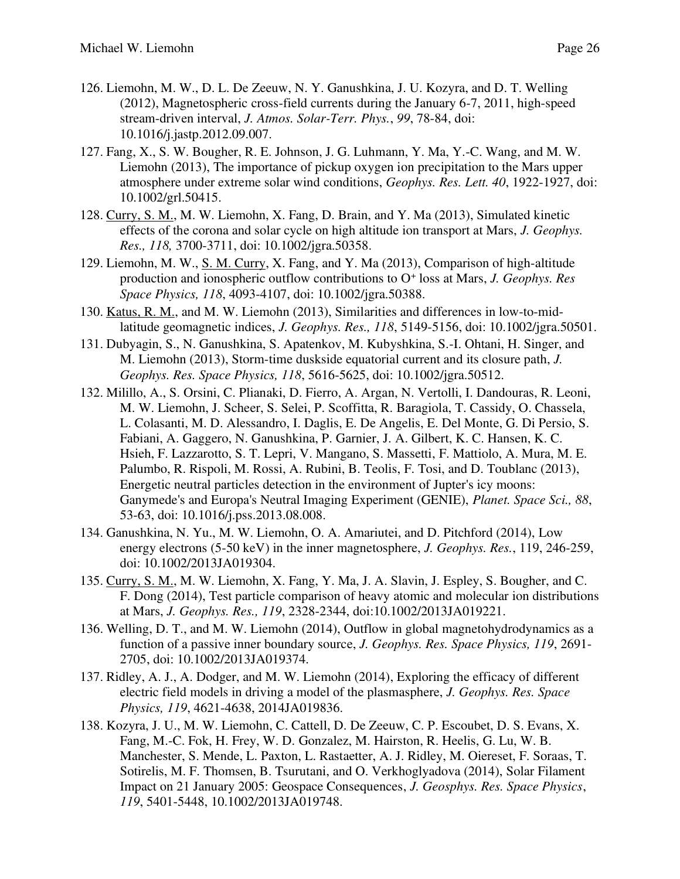- 126. Liemohn, M. W., D. L. De Zeeuw, N. Y. Ganushkina, J. U. Kozyra, and D. T. Welling (2012), Magnetospheric cross-field currents during the January 6-7, 2011, high-speed stream-driven interval, *J. Atmos. Solar-Terr. Phys.*, *99*, 78-84, doi: 10.1016/j.jastp.2012.09.007.
- 127. Fang, X., S. W. Bougher, R. E. Johnson, J. G. Luhmann, Y. Ma, Y.-C. Wang, and M. W. Liemohn (2013), The importance of pickup oxygen ion precipitation to the Mars upper atmosphere under extreme solar wind conditions, *Geophys. Res. Lett. 40*, 1922-1927, doi: 10.1002/grl.50415.
- 128. Curry, S. M., M. W. Liemohn, X. Fang, D. Brain, and Y. Ma (2013), Simulated kinetic effects of the corona and solar cycle on high altitude ion transport at Mars, *J. Geophys. Res., 118,* 3700-3711, doi: 10.1002/jgra.50358.
- 129. Liemohn, M. W., S. M. Curry, X. Fang, and Y. Ma (2013), Comparison of high-altitude production and ionospheric outflow contributions to O<sup>+</sup> loss at Mars, *J. Geophys. Res Space Physics, 118*, 4093-4107, doi: 10.1002/jgra.50388.
- 130. Katus, R. M., and M. W. Liemohn (2013), Similarities and differences in low-to-midlatitude geomagnetic indices, *J. Geophys. Res., 118*, 5149-5156, doi: 10.1002/jgra.50501.
- 131. Dubyagin, S., N. Ganushkina, S. Apatenkov, M. Kubyshkina, S.-I. Ohtani, H. Singer, and M. Liemohn (2013), Storm-time duskside equatorial current and its closure path, *J. Geophys. Res. Space Physics, 118*, 5616-5625, doi: 10.1002/jgra.50512.
- 132. Milillo, A., S. Orsini, C. Plianaki, D. Fierro, A. Argan, N. Vertolli, I. Dandouras, R. Leoni, M. W. Liemohn, J. Scheer, S. Selei, P. Scoffitta, R. Baragiola, T. Cassidy, O. Chassela, L. Colasanti, M. D. Alessandro, I. Daglis, E. De Angelis, E. Del Monte, G. Di Persio, S. Fabiani, A. Gaggero, N. Ganushkina, P. Garnier, J. A. Gilbert, K. C. Hansen, K. C. Hsieh, F. Lazzarotto, S. T. Lepri, V. Mangano, S. Massetti, F. Mattiolo, A. Mura, M. E. Palumbo, R. Rispoli, M. Rossi, A. Rubini, B. Teolis, F. Tosi, and D. Toublanc (2013), Energetic neutral particles detection in the environment of Jupter's icy moons: Ganymede's and Europa's Neutral Imaging Experiment (GENIE), *Planet. Space Sci., 88*, 53-63, doi: 10.1016/j.pss.2013.08.008.
- 134. Ganushkina, N. Yu., M. W. Liemohn, O. A. Amariutei, and D. Pitchford (2014), Low energy electrons (5-50 keV) in the inner magnetosphere, *J. Geophys. Res.*, 119, 246-259, doi: 10.1002/2013JA019304.
- 135. Curry, S. M., M. W. Liemohn, X. Fang, Y. Ma, J. A. Slavin, J. Espley, S. Bougher, and C. F. Dong (2014), Test particle comparison of heavy atomic and molecular ion distributions at Mars, *J. Geophys. Res., 119*, 2328-2344, doi:10.1002/2013JA019221.
- 136. Welling, D. T., and M. W. Liemohn (2014), Outflow in global magnetohydrodynamics as a function of a passive inner boundary source, *J. Geophys. Res. Space Physics, 119*, 2691- 2705, doi: 10.1002/2013JA019374.
- 137. Ridley, A. J., A. Dodger, and M. W. Liemohn (2014), Exploring the efficacy of different electric field models in driving a model of the plasmasphere, *J. Geophys. Res. Space Physics, 119*, 4621-4638, 2014JA019836.
- 138. Kozyra, J. U., M. W. Liemohn, C. Cattell, D. De Zeeuw, C. P. Escoubet, D. S. Evans, X. Fang, M.-C. Fok, H. Frey, W. D. Gonzalez, M. Hairston, R. Heelis, G. Lu, W. B. Manchester, S. Mende, L. Paxton, L. Rastaetter, A. J. Ridley, M. Oiereset, F. Soraas, T. Sotirelis, M. F. Thomsen, B. Tsurutani, and O. Verkhoglyadova (2014), Solar Filament Impact on 21 January 2005: Geospace Consequences, *J. Geosphys. Res. Space Physics*, *119*, 5401-5448, 10.1002/2013JA019748.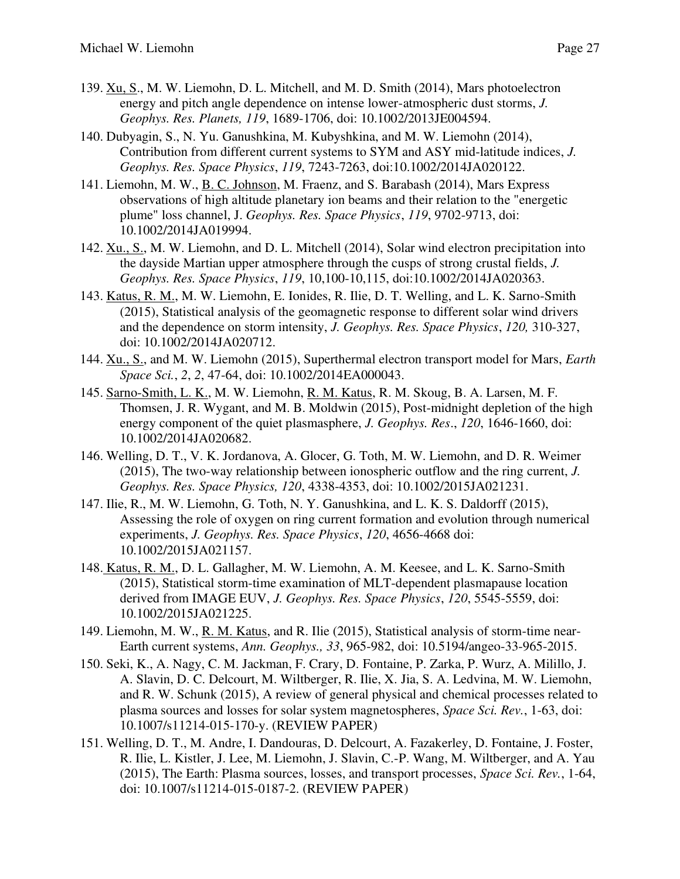- 139. Xu, S., M. W. Liemohn, D. L. Mitchell, and M. D. Smith (2014), Mars photoelectron energy and pitch angle dependence on intense lower-atmospheric dust storms, *J. Geophys. Res. Planets, 119*, 1689-1706, doi: 10.1002/2013JE004594.
- 140. Dubyagin, S., N. Yu. Ganushkina, M. Kubyshkina, and M. W. Liemohn (2014), Contribution from different current systems to SYM and ASY mid-latitude indices, *J. Geophys. Res. Space Physics*, *119*, 7243-7263, doi:10.1002/2014JA020122.
- 141. Liemohn, M. W., B. C. Johnson, M. Fraenz, and S. Barabash (2014), Mars Express observations of high altitude planetary ion beams and their relation to the "energetic plume" loss channel, J. *Geophys. Res. Space Physics*, *119*, 9702-9713, doi: 10.1002/2014JA019994.
- 142. Xu., S., M. W. Liemohn, and D. L. Mitchell (2014), Solar wind electron precipitation into the dayside Martian upper atmosphere through the cusps of strong crustal fields, *J. Geophys. Res. Space Physics*, *119*, 10,100-10,115, doi:10.1002/2014JA020363.
- 143. Katus, R. M., M. W. Liemohn, E. Ionides, R. Ilie, D. T. Welling, and L. K. Sarno-Smith (2015), Statistical analysis of the geomagnetic response to different solar wind drivers and the dependence on storm intensity, *J. Geophys. Res. Space Physics*, *120,* 310-327, doi: 10.1002/2014JA020712.
- 144. Xu., S., and M. W. Liemohn (2015), Superthermal electron transport model for Mars, *Earth Space Sci.*, *2*, *2*, 47-64, doi: 10.1002/2014EA000043.
- 145. Sarno-Smith, L. K., M. W. Liemohn, R. M. Katus, R. M. Skoug, B. A. Larsen, M. F. Thomsen, J. R. Wygant, and M. B. Moldwin (2015), Post-midnight depletion of the high energy component of the quiet plasmasphere, *J. Geophys. Res*., *120*, 1646-1660, doi: 10.1002/2014JA020682.
- 146. Welling, D. T., V. K. Jordanova, A. Glocer, G. Toth, M. W. Liemohn, and D. R. Weimer (2015), The two-way relationship between ionospheric outflow and the ring current, *J. Geophys. Res. Space Physics, 120*, 4338-4353, doi: 10.1002/2015JA021231.
- 147. Ilie, R., M. W. Liemohn, G. Toth, N. Y. Ganushkina, and L. K. S. Daldorff (2015), Assessing the role of oxygen on ring current formation and evolution through numerical experiments, *J. Geophys. Res. Space Physics*, *120*, 4656-4668 doi: 10.1002/2015JA021157.
- 148. Katus, R. M., D. L. Gallagher, M. W. Liemohn, A. M. Keesee, and L. K. Sarno-Smith (2015), Statistical storm-time examination of MLT-dependent plasmapause location derived from IMAGE EUV, *J. Geophys. Res. Space Physics*, *120*, 5545-5559, doi: 10.1002/2015JA021225.
- 149. Liemohn, M. W., R. M. Katus, and R. Ilie (2015), Statistical analysis of storm-time near-Earth current systems, *Ann. Geophys., 33*, 965-982, doi: 10.5194/angeo-33-965-2015.
- 150. Seki, K., A. Nagy, C. M. Jackman, F. Crary, D. Fontaine, P. Zarka, P. Wurz, A. Milillo, J. A. Slavin, D. C. Delcourt, M. Wiltberger, R. Ilie, X. Jia, S. A. Ledvina, M. W. Liemohn, and R. W. Schunk (2015), A review of general physical and chemical processes related to plasma sources and losses for solar system magnetospheres, *Space Sci. Rev.*, 1-63, doi: 10.1007/s11214-015-170-y. (REVIEW PAPER)
- 151. Welling, D. T., M. Andre, I. Dandouras, D. Delcourt, A. Fazakerley, D. Fontaine, J. Foster, R. Ilie, L. Kistler, J. Lee, M. Liemohn, J. Slavin, C.-P. Wang, M. Wiltberger, and A. Yau (2015), The Earth: Plasma sources, losses, and transport processes, *Space Sci. Rev.*, 1-64, doi: 10.1007/s11214-015-0187-2. (REVIEW PAPER)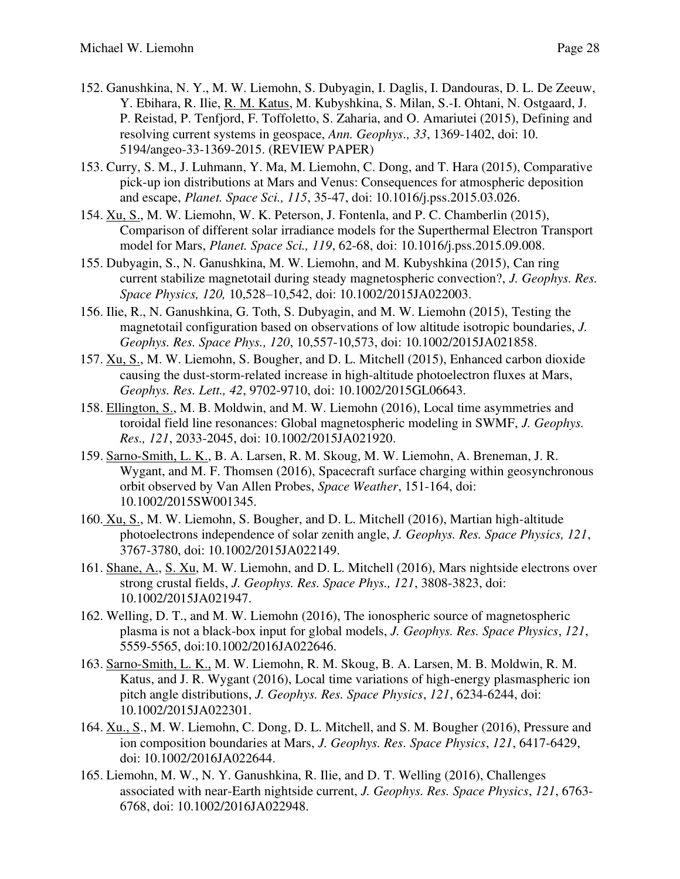- 152. Ganushkina, N. Y., M. W. Liemohn, S. Dubyagin, I. Daglis, I. Dandouras, D. L. De Zeeuw, Y. Ebihara, R. Ilie, R. M. Katus, M. Kubyshkina, S. Milan, S.-I. Ohtani, N. Ostgaard, J. P. Reistad, P. Tenfjord, F. Toffoletto, S. Zaharia, and O. Amariutei (2015), Defining and resolving current systems in geospace, *Ann. Geophys., 33*, 1369-1402, doi: 10. 5194/angeo-33-1369-2015. (REVIEW PAPER)
- 153. Curry, S. M., J. Luhmann, Y. Ma, M. Liemohn, C. Dong, and T. Hara (2015), Comparative pick-up ion distributions at Mars and Venus: Consequences for atmospheric deposition and escape, *Planet. Space Sci., 115*, 35-47, doi: 10.1016/j.pss.2015.03.026.
- 154. Xu, S., M. W. Liemohn, W. K. Peterson, J. Fontenla, and P. C. Chamberlin (2015), Comparison of different solar irradiance models for the Superthermal Electron Transport model for Mars, *Planet. Space Sci., 119*, 62-68, doi: 10.1016/j.pss.2015.09.008.
- 155. Dubyagin, S., N. Ganushkina, M. W. Liemohn, and M. Kubyshkina (2015), Can ring current stabilize magnetotail during steady magnetospheric convection?, *J. Geophys. Res. Space Physics, 120,* 10,528*–*10,542, doi: 10.1002/2015JA022003.
- 156. Ilie, R., N. Ganushkina, G. Toth, S. Dubyagin, and M. W. Liemohn (2015), Testing the magnetotail configuration based on observations of low altitude isotropic boundaries, *J. Geophys. Res. Space Phys., 120*, 10,557-10,573, doi: 10.1002/2015JA021858.
- 157. Xu, S., M. W. Liemohn, S. Bougher, and D. L. Mitchell (2015), Enhanced carbon dioxide causing the dust-storm-related increase in high-altitude photoelectron fluxes at Mars, *Geophys. Res. Lett., 42*, 9702-9710, doi: 10.1002/2015GL06643.
- 158. Ellington, S., M. B. Moldwin, and M. W. Liemohn (2016), Local time asymmetries and toroidal field line resonances: Global magnetospheric modeling in SWMF, *J. Geophys. Res., 121*, 2033-2045, doi: 10.1002/2015JA021920.
- 159. Sarno-Smith, L. K., B. A. Larsen, R. M. Skoug, M. W. Liemohn, A. Breneman, J. R. Wygant, and M. F. Thomsen (2016), Spacecraft surface charging within geosynchronous orbit observed by Van Allen Probes, *Space Weather*, 151-164, doi: 10.1002/2015SW001345.
- 160. Xu, S., M. W. Liemohn, S. Bougher, and D. L. Mitchell (2016), Martian high-altitude photoelectrons independence of solar zenith angle, *J. Geophys. Res. Space Physics, 121*, 3767-3780, doi: 10.1002/2015JA022149.
- 161. Shane, A., S. Xu, M. W. Liemohn, and D. L. Mitchell (2016), Mars nightside electrons over strong crustal fields, *J. Geophys. Res. Space Phys., 121*, 3808-3823, doi: 10.1002/2015JA021947.
- 162. Welling, D. T., and M. W. Liemohn (2016), The ionospheric source of magnetospheric plasma is not a black-box input for global models, *J. Geophys. Res. Space Physics*, *121*, 5559-5565, doi:10.1002/2016JA022646.
- 163. Sarno-Smith, L. K., M. W. Liemohn, R. M. Skoug, B. A. Larsen, M. B. Moldwin, R. M. Katus, and J. R. Wygant (2016), Local time variations of high-energy plasmaspheric ion pitch angle distributions, *J. Geophys. Res. Space Physics*, *121*, 6234-6244, doi: 10.1002/2015JA022301.
- 164. Xu., S., M. W. Liemohn, C. Dong, D. L. Mitchell, and S. M. Bougher (2016), Pressure and ion composition boundaries at Mars, *J. Geophys. Res. Space Physics*, *121*, 6417-6429, doi: 10.1002/2016JA022644.
- 165. Liemohn, M. W., N. Y. Ganushkina, R. Ilie, and D. T. Welling (2016), Challenges associated with near-Earth nightside current, *J. Geophys. Res. Space Physics*, *121*, 6763- 6768, doi: 10.1002/2016JA022948.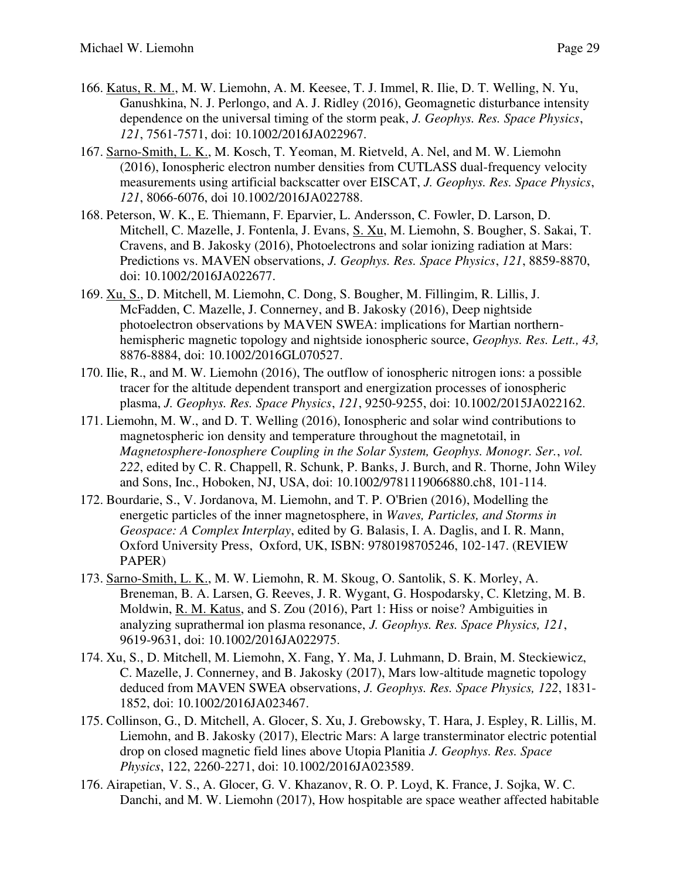- 166. Katus, R. M., M. W. Liemohn, A. M. Keesee, T. J. Immel, R. Ilie, D. T. Welling, N. Yu, Ganushkina, N. J. Perlongo, and A. J. Ridley (2016), Geomagnetic disturbance intensity dependence on the universal timing of the storm peak, *J. Geophys. Res. Space Physics*, *121*, 7561-7571, doi: 10.1002/2016JA022967.
- 167. Sarno-Smith, L. K., M. Kosch, T. Yeoman, M. Rietveld, A. Nel, and M. W. Liemohn (2016), Ionospheric electron number densities from CUTLASS dual-frequency velocity measurements using artificial backscatter over EISCAT, *J. Geophys. Res. Space Physics*, *121*, 8066-6076, doi 10.1002/2016JA022788.
- 168. Peterson, W. K., E. Thiemann, F. Eparvier, L. Andersson, C. Fowler, D. Larson, D. Mitchell, C. Mazelle, J. Fontenla, J. Evans, S. Xu, M. Liemohn, S. Bougher, S. Sakai, T. Cravens, and B. Jakosky (2016), Photoelectrons and solar ionizing radiation at Mars: Predictions vs. MAVEN observations, *J. Geophys. Res. Space Physics*, *121*, 8859-8870, doi: 10.1002/2016JA022677.
- 169. Xu, S., D. Mitchell, M. Liemohn, C. Dong, S. Bougher, M. Fillingim, R. Lillis, J. McFadden, C. Mazelle, J. Connerney, and B. Jakosky (2016), Deep nightside photoelectron observations by MAVEN SWEA: implications for Martian northernhemispheric magnetic topology and nightside ionospheric source, *Geophys. Res. Lett., 43,*  8876-8884, doi: 10.1002/2016GL070527.
- 170. Ilie, R., and M. W. Liemohn (2016), The outflow of ionospheric nitrogen ions: a possible tracer for the altitude dependent transport and energization processes of ionospheric plasma, *J. Geophys. Res. Space Physics*, *121*, 9250-9255, doi: 10.1002/2015JA022162.
- 171. Liemohn, M. W., and D. T. Welling (2016), Ionospheric and solar wind contributions to magnetospheric ion density and temperature throughout the magnetotail, in *Magnetosphere-Ionosphere Coupling in the Solar System, Geophys. Monogr. Ser.*, *vol. 222*, edited by C. R. Chappell, R. Schunk, P. Banks, J. Burch, and R. Thorne, John Wiley and Sons, Inc., Hoboken, NJ, USA, doi: 10.1002/9781119066880.ch8, 101-114.
- 172. Bourdarie, S., V. Jordanova, M. Liemohn, and T. P. O'Brien (2016), Modelling the energetic particles of the inner magnetosphere, in *Waves, Particles, and Storms in Geospace: A Complex Interplay*, edited by G. Balasis, I. A. Daglis, and I. R. Mann, Oxford University Press, Oxford, UK, ISBN: 9780198705246, 102-147. (REVIEW PAPER)
- 173. Sarno-Smith, L. K., M. W. Liemohn, R. M. Skoug, O. Santolik, S. K. Morley, A. Breneman, B. A. Larsen, G. Reeves, J. R. Wygant, G. Hospodarsky, C. Kletzing, M. B. Moldwin, R. M. Katus, and S. Zou (2016), Part 1: Hiss or noise? Ambiguities in analyzing suprathermal ion plasma resonance, *J. Geophys. Res. Space Physics, 121*, 9619-9631, doi: 10.1002/2016JA022975.
- 174. Xu, S., D. Mitchell, M. Liemohn, X. Fang, Y. Ma, J. Luhmann, D. Brain, M. Steckiewicz, C. Mazelle, J. Connerney, and B. Jakosky (2017), Mars low-altitude magnetic topology deduced from MAVEN SWEA observations, *J. Geophys. Res. Space Physics, 122*, 1831- 1852, doi: 10.1002/2016JA023467.
- 175. Collinson, G., D. Mitchell, A. Glocer, S. Xu, J. Grebowsky, T. Hara, J. Espley, R. Lillis, M. Liemohn, and B. Jakosky (2017), Electric Mars: A large transterminator electric potential drop on closed magnetic field lines above Utopia Planitia *J. Geophys. Res. Space Physics*, 122, 2260-2271, doi: 10.1002/2016JA023589.
- 176. Airapetian, V. S., A. Glocer, G. V. Khazanov, R. O. P. Loyd, K. France, J. Sojka, W. C. Danchi, and M. W. Liemohn (2017), How hospitable are space weather affected habitable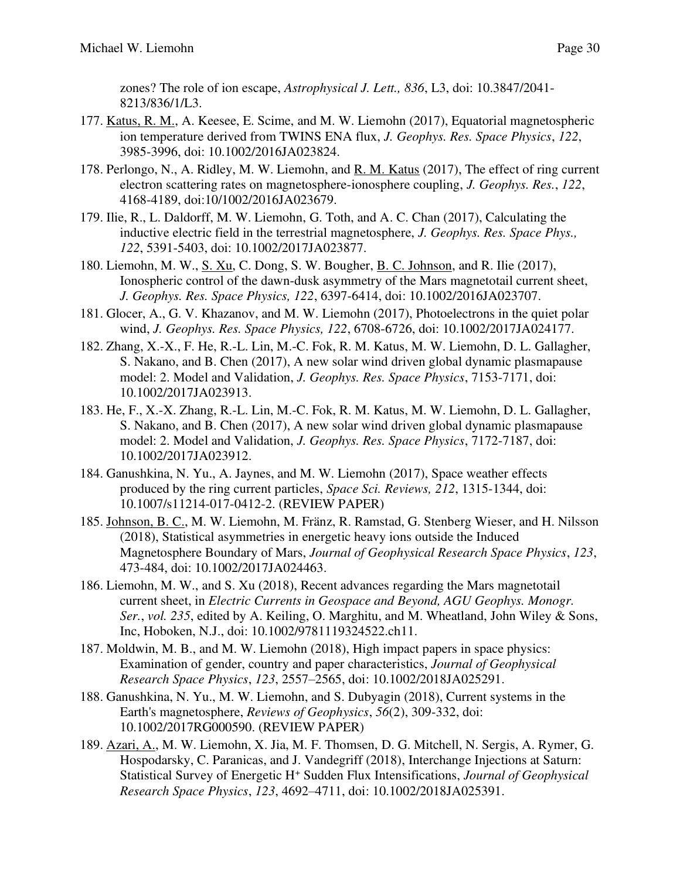zones? The role of ion escape, *Astrophysical J. Lett., 836*, L3, doi: 10.3847/2041- 8213/836/1/L3.

- 177. Katus, R. M., A. Keesee, E. Scime, and M. W. Liemohn (2017), Equatorial magnetospheric ion temperature derived from TWINS ENA flux, *J. Geophys. Res. Space Physics*, *122*, 3985-3996, doi: 10.1002/2016JA023824.
- 178. Perlongo, N., A. Ridley, M. W. Liemohn, and R. M. Katus (2017), The effect of ring current electron scattering rates on magnetosphere-ionosphere coupling, *J. Geophys. Res.*, *122*, 4168-4189, doi:10/1002/2016JA023679.
- 179. Ilie, R., L. Daldorff, M. W. Liemohn, G. Toth, and A. C. Chan (2017), Calculating the inductive electric field in the terrestrial magnetosphere, *J. Geophys. Res. Space Phys., 122*, 5391-5403, doi: 10.1002/2017JA023877.
- 180. Liemohn, M. W., S. Xu, C. Dong, S. W. Bougher, B. C. Johnson, and R. Ilie (2017), Ionospheric control of the dawn-dusk asymmetry of the Mars magnetotail current sheet, *J. Geophys. Res. Space Physics, 122*, 6397-6414, doi: 10.1002/2016JA023707.
- 181. Glocer, A., G. V. Khazanov, and M. W. Liemohn (2017), Photoelectrons in the quiet polar wind, *J. Geophys. Res. Space Physics, 122*, 6708-6726, doi: 10.1002/2017JA024177.
- 182. Zhang, X.-X., F. He, R.-L. Lin, M.-C. Fok, R. M. Katus, M. W. Liemohn, D. L. Gallagher, S. Nakano, and B. Chen (2017), A new solar wind driven global dynamic plasmapause model: 2. Model and Validation, *J. Geophys. Res. Space Physics*, 7153-7171, doi: 10.1002/2017JA023913.
- 183. He, F., X.-X. Zhang, R.-L. Lin, M.-C. Fok, R. M. Katus, M. W. Liemohn, D. L. Gallagher, S. Nakano, and B. Chen (2017), A new solar wind driven global dynamic plasmapause model: 2. Model and Validation, *J. Geophys. Res. Space Physics*, 7172-7187, doi: 10.1002/2017JA023912.
- 184. Ganushkina, N. Yu., A. Jaynes, and M. W. Liemohn (2017), Space weather effects produced by the ring current particles, *Space Sci. Reviews, 212*, 1315-1344, doi: 10.1007/s11214-017-0412-2. (REVIEW PAPER)
- 185. Johnson, B. C., M. W. Liemohn, M. Fränz, R. Ramstad, G. Stenberg Wieser, and H. Nilsson (2018), Statistical asymmetries in energetic heavy ions outside the Induced Magnetosphere Boundary of Mars, *Journal of Geophysical Research Space Physics*, *123*, 473-484, doi: 10.1002/2017JA024463.
- 186. Liemohn, M. W., and S. Xu (2018), Recent advances regarding the Mars magnetotail current sheet, in *Electric Currents in Geospace and Beyond, AGU Geophys. Monogr. Ser.*, *vol. 235*, edited by A. Keiling, O. Marghitu, and M. Wheatland, John Wiley & Sons, Inc, Hoboken, N.J., doi: 10.1002/9781119324522.ch11.
- 187. Moldwin, M. B., and M. W. Liemohn (2018), High impact papers in space physics: Examination of gender, country and paper characteristics, *Journal of Geophysical Research Space Physics*, *123*, 2557–2565, doi: 10.1002/2018JA025291.
- 188. Ganushkina, N. Yu., M. W. Liemohn, and S. Dubyagin (2018), Current systems in the Earth's magnetosphere, *Reviews of Geophysics*, *56*(2), 309-332, doi: 10.1002/2017RG000590. (REVIEW PAPER)
- 189. Azari, A., M. W. Liemohn, X. Jia, M. F. Thomsen, D. G. Mitchell, N. Sergis, A. Rymer, G. Hospodarsky, C. Paranicas, and J. Vandegriff (2018), Interchange Injections at Saturn: Statistical Survey of Energetic H<sup>+</sup> Sudden Flux Intensifications, *Journal of Geophysical Research Space Physics*, *123*, 4692–4711, doi: 10.1002/2018JA025391.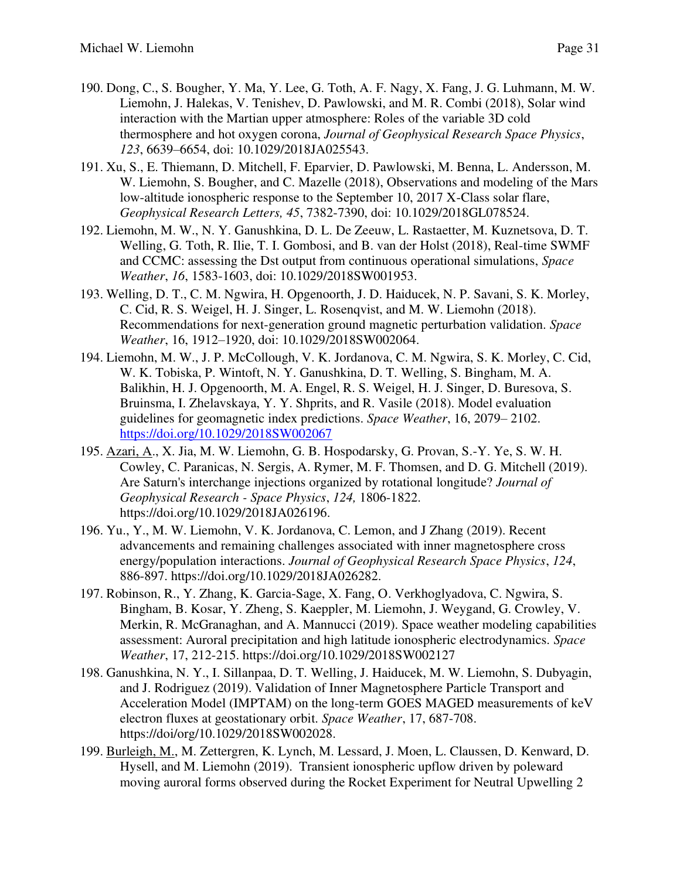- 190. Dong, C., S. Bougher, Y. Ma, Y. Lee, G. Toth, A. F. Nagy, X. Fang, J. G. Luhmann, M. W. Liemohn, J. Halekas, V. Tenishev, D. Pawlowski, and M. R. Combi (2018), Solar wind interaction with the Martian upper atmosphere: Roles of the variable 3D cold thermosphere and hot oxygen corona, *Journal of Geophysical Research Space Physics*, *123*, 6639–6654, doi: 10.1029/2018JA025543.
- 191. Xu, S., E. Thiemann, D. Mitchell, F. Eparvier, D. Pawlowski, M. Benna, L. Andersson, M. W. Liemohn, S. Bougher, and C. Mazelle (2018), Observations and modeling of the Mars low-altitude ionospheric response to the September 10, 2017 X-Class solar flare, *Geophysical Research Letters, 45*, 7382-7390, doi: 10.1029/2018GL078524.
- 192. Liemohn, M. W., N. Y. Ganushkina, D. L. De Zeeuw, L. Rastaetter, M. Kuznetsova, D. T. Welling, G. Toth, R. Ilie, T. I. Gombosi, and B. van der Holst (2018), Real-time SWMF and CCMC: assessing the Dst output from continuous operational simulations, *Space Weather*, *16*, 1583-1603, doi: 10.1029/2018SW001953.
- 193. Welling, D. T., C. M. Ngwira, H. Opgenoorth, J. D. Haiducek, N. P. Savani, S. K. Morley, C. Cid, R. S. Weigel, H. J. Singer, L. Rosenqvist, and M. W. Liemohn (2018). Recommendations for next-generation ground magnetic perturbation validation. *Space Weather*, 16, 1912–1920, doi: 10.1029/2018SW002064.
- 194. Liemohn, M. W., J. P. McCollough, V. K. Jordanova, C. M. Ngwira, S. K. Morley, C. Cid, W. K. Tobiska, P. Wintoft, N. Y. Ganushkina, D. T. Welling, S. Bingham, M. A. Balikhin, H. J. Opgenoorth, M. A. Engel, R. S. Weigel, H. J. Singer, D. Buresova, S. Bruinsma, I. Zhelavskaya, Y. Y. Shprits, and R. Vasile (2018). Model evaluation guidelines for geomagnetic index predictions. *Space Weather*, 16, 2079– 2102. <https://doi.org/10.1029/2018SW002067>
- 195. Azari, A., X. Jia, M. W. Liemohn, G. B. Hospodarsky, G. Provan, S.-Y. Ye, S. W. H. Cowley, C. Paranicas, N. Sergis, A. Rymer, M. F. Thomsen, and D. G. Mitchell (2019). Are Saturn's interchange injections organized by rotational longitude? *Journal of Geophysical Research - Space Physics*, *124,* 1806-1822. https://doi.org/10.1029/2018JA026196.
- 196. Yu., Y., M. W. Liemohn, V. K. Jordanova, C. Lemon, and J Zhang (2019). Recent advancements and remaining challenges associated with inner magnetosphere cross energy/population interactions. *Journal of Geophysical Research Space Physics*, *124*, 886-897. https://doi.org/10.1029/2018JA026282.
- 197. Robinson, R., Y. Zhang, K. Garcia-Sage, X. Fang, O. Verkhoglyadova, C. Ngwira, S. Bingham, B. Kosar, Y. Zheng, S. Kaeppler, M. Liemohn, J. Weygand, G. Crowley, V. Merkin, R. McGranaghan, and A. Mannucci (2019). Space weather modeling capabilities assessment: Auroral precipitation and high latitude ionospheric electrodynamics. *Space Weather*, 17, 212-215. https://doi.org/10.1029/2018SW002127
- 198. Ganushkina, N. Y., I. Sillanpaa, D. T. Welling, J. Haiducek, M. W. Liemohn, S. Dubyagin, and J. Rodriguez (2019). Validation of Inner Magnetosphere Particle Transport and Acceleration Model (IMPTAM) on the long-term GOES MAGED measurements of keV electron fluxes at geostationary orbit. *Space Weather*, 17, 687-708. https://doi/org/10.1029/2018SW002028.
- 199. Burleigh, M., M. Zettergren, K. Lynch, M. Lessard, J. Moen, L. Claussen, D. Kenward, D. Hysell, and M. Liemohn (2019). Transient ionospheric upflow driven by poleward moving auroral forms observed during the Rocket Experiment for Neutral Upwelling 2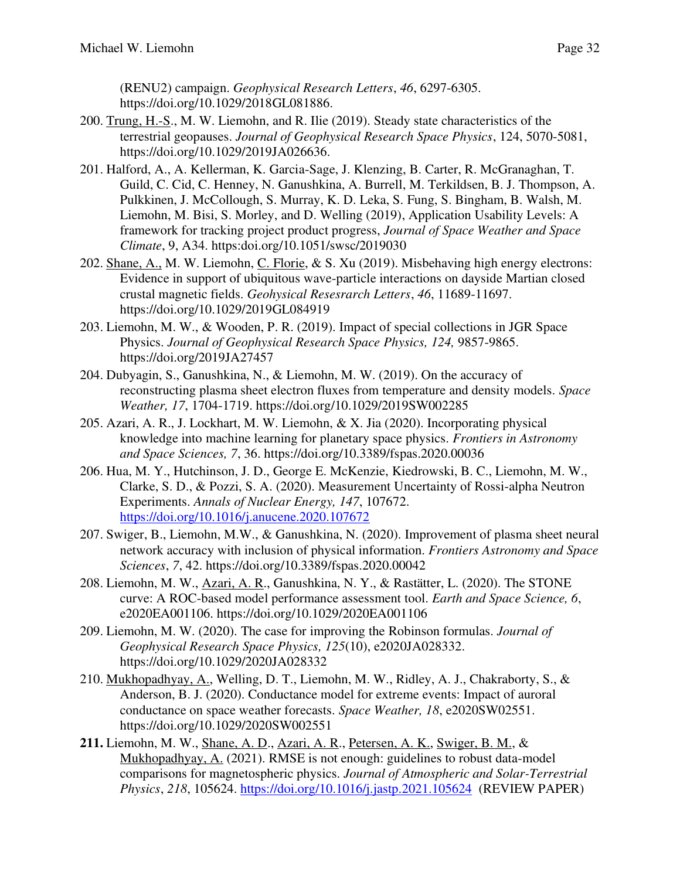(RENU2) campaign. *Geophysical Research Letters*, *46*, 6297-6305. https://doi.org/10.1029/2018GL081886.

- 200. Trung, H.-S., M. W. Liemohn, and R. Ilie (2019). Steady state characteristics of the terrestrial geopauses. *Journal of Geophysical Research Space Physics*, 124, 5070-5081, https://doi.org/10.1029/2019JA026636.
- 201. Halford, A., A. Kellerman, K. Garcia-Sage, J. Klenzing, B. Carter, R. McGranaghan, T. Guild, C. Cid, C. Henney, N. Ganushkina, A. Burrell, M. Terkildsen, B. J. Thompson, A. Pulkkinen, J. McCollough, S. Murray, K. D. Leka, S. Fung, S. Bingham, B. Walsh, M. Liemohn, M. Bisi, S. Morley, and D. Welling (2019), Application Usability Levels: A framework for tracking project product progress, *Journal of Space Weather and Space Climate*, 9, A34. https:doi.org/10.1051/swsc/2019030
- 202. Shane, A., M. W. Liemohn, C. Florie, & S. Xu (2019). Misbehaving high energy electrons: Evidence in support of ubiquitous wave-particle interactions on dayside Martian closed crustal magnetic fields. *Geohysical Resesrarch Letters*, *46*, 11689-11697. https://doi.org/10.1029/2019GL084919
- 203. Liemohn, M. W., & Wooden, P. R. (2019). Impact of special collections in JGR Space Physics. *Journal of Geophysical Research Space Physics, 124,* 9857-9865. https://doi.org/2019JA27457
- 204. Dubyagin, S., Ganushkina, N., & Liemohn, M. W. (2019). On the accuracy of reconstructing plasma sheet electron fluxes from temperature and density models. *Space Weather, 17*, 1704-1719. https://doi.org/10.1029/2019SW002285
- 205. Azari, A. R., J. Lockhart, M. W. Liemohn, & X. Jia (2020). Incorporating physical knowledge into machine learning for planetary space physics. *Frontiers in Astronomy and Space Sciences, 7*, 36. https://doi.org/10.3389/fspas.2020.00036
- 206. Hua, M. Y., Hutchinson, J. D., George E. McKenzie, Kiedrowski, B. C., Liemohn, M. W., Clarke, S. D., & Pozzi, S. A. (2020). Measurement Uncertainty of Rossi-alpha Neutron Experiments. *Annals of Nuclear Energy, 147*, 107672. <https://doi.org/10.1016/j.anucene.2020.107672>
- 207. Swiger, B., Liemohn, M.W., & Ganushkina, N. (2020). Improvement of plasma sheet neural network accuracy with inclusion of physical information. *Frontiers Astronomy and Space Sciences*, *7*, 42. https://doi.org/10.3389/fspas.2020.00042
- 208. Liemohn, M. W., Azari, A. R., Ganushkina, N. Y., & Rastätter, L. (2020). The STONE curve: A ROC-based model performance assessment tool. *Earth and Space Science, 6*, e2020EA001106. https://doi.org/10.1029/2020EA001106
- 209. Liemohn, M. W. (2020). The case for improving the Robinson formulas. *Journal of Geophysical Research Space Physics, 125*(10), e2020JA028332. https://doi.org/10.1029/2020JA028332
- 210. Mukhopadhyay, A., Welling, D. T., Liemohn, M. W., Ridley, A. J., Chakraborty, S., & Anderson, B. J. (2020). Conductance model for extreme events: Impact of auroral conductance on space weather forecasts. *Space Weather, 18*, e2020SW02551. https://doi.org/10.1029/2020SW002551
- **211.** Liemohn, M. W., Shane, A. D., Azari, A. R., Petersen, A. K., Swiger, B. M., & Mukhopadhyay, A. (2021). RMSE is not enough: guidelines to robust data-model comparisons for magnetospheric physics. *Journal of Atmospheric and Solar-Terrestrial Physics*, *218*, 105624.<https://doi.org/10.1016/j.jastp.2021.105624>(REVIEW PAPER)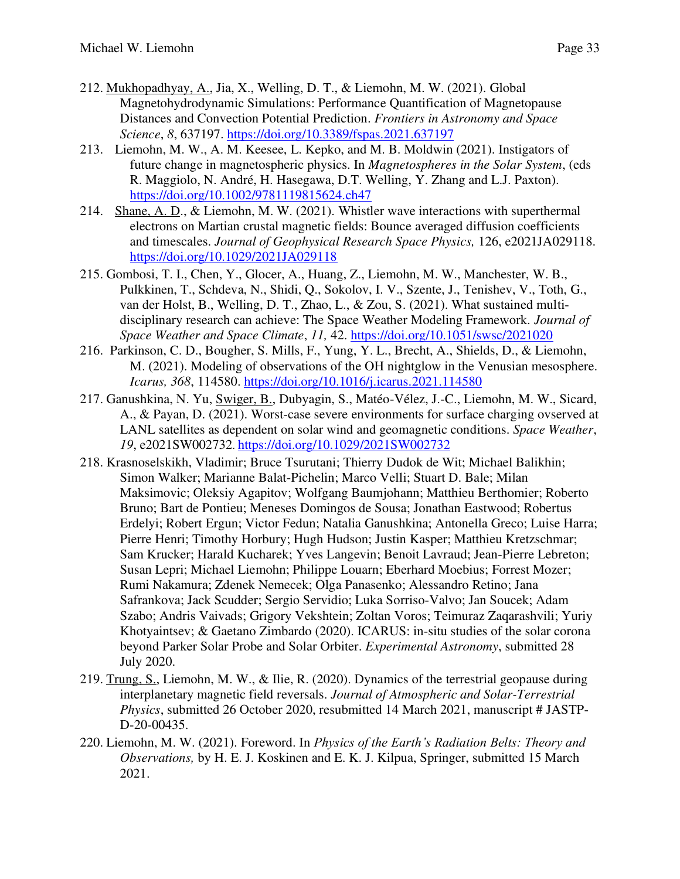- 212. Mukhopadhyay, A., Jia, X., Welling, D. T., & Liemohn, M. W. (2021). Global Magnetohydrodynamic Simulations: Performance Quantification of Magnetopause Distances and Convection Potential Prediction. *Frontiers in Astronomy and Space Science*, *8*, 637197.<https://doi.org/10.3389/fspas.2021.637197>
- 213. Liemohn, M. W., A. M. Keesee, L. Kepko, and M. B. Moldwin (2021). Instigators of future change in magnetospheric physics. In *Magnetospheres in the Solar System*, (eds R. Maggiolo, N. André, H. Hasegawa, D.T. Welling, Y. Zhang and L.J. Paxton). <https://doi.org/10.1002/9781119815624.ch47>
- 214. Shane, A. D., & Liemohn, M. W. (2021). Whistler wave interactions with superthermal electrons on Martian crustal magnetic fields: Bounce averaged diffusion coefficients and timescales. *Journal of Geophysical Research Space Physics,* 126, e2021JA029118. <https://doi.org/10.1029/2021JA029118>
- 215. Gombosi, T. I., Chen, Y., Glocer, A., Huang, Z., Liemohn, M. W., Manchester, W. B., Pulkkinen, T., Schdeva, N., Shidi, Q., Sokolov, I. V., Szente, J., Tenishev, V., Toth, G., van der Holst, B., Welling, D. T., Zhao, L., & Zou, S. (2021). What sustained multidisciplinary research can achieve: The Space Weather Modeling Framework. *Journal of Space Weather and Space Climate*, *11,* 42.<https://doi.org/10.1051/swsc/2021020>
- 216. Parkinson, C. D., Bougher, S. Mills, F., Yung, Y. L., Brecht, A., Shields, D., & Liemohn, M. (2021). Modeling of observations of the OH nightglow in the Venusian mesosphere. *Icarus, 368*, 114580.<https://doi.org/10.1016/j.icarus.2021.114580>
- 217. Ganushkina, N. Yu, Swiger, B., Dubyagin, S., Matéo-Vélez, J.-C., Liemohn, M. W., Sicard, A., & Payan, D. (2021). Worst-case severe environments for surface charging ovserved at LANL satellites as dependent on solar wind and geomagnetic conditions. *Space Weather*, *19*, e2021SW002732. <https://doi.org/10.1029/2021SW002732>
- 218. Krasnoselskikh, Vladimir; Bruce Tsurutani; Thierry Dudok de Wit; Michael Balikhin; Simon Walker; Marianne Balat-Pichelin; Marco Velli; Stuart D. Bale; Milan Maksimovic; Oleksiy Agapitov; Wolfgang Baumjohann; Matthieu Berthomier; Roberto Bruno; Bart de Pontieu; Meneses Domingos de Sousa; Jonathan Eastwood; Robertus Erdelyi; Robert Ergun; Victor Fedun; Natalia Ganushkina; Antonella Greco; Luise Harra; Pierre Henri; Timothy Horbury; Hugh Hudson; Justin Kasper; Matthieu Kretzschmar; Sam Krucker; Harald Kucharek; Yves Langevin; Benoit Lavraud; Jean-Pierre Lebreton; Susan Lepri; Michael Liemohn; Philippe Louarn; Eberhard Moebius; Forrest Mozer; Rumi Nakamura; Zdenek Nemecek; Olga Panasenko; Alessandro Retino; Jana Safrankova; Jack Scudder; Sergio Servidio; Luka Sorriso-Valvo; Jan Soucek; Adam Szabo; Andris Vaivads; Grigory Vekshtein; Zoltan Voros; Teimuraz Zaqarashvili; Yuriy Khotyaintsev; & Gaetano Zimbardo (2020). ICARUS: in-situ studies of the solar corona beyond Parker Solar Probe and Solar Orbiter. *Experimental Astronomy*, submitted 28 July 2020.
- 219. Trung, S., Liemohn, M. W., & Ilie, R. (2020). Dynamics of the terrestrial geopause during interplanetary magnetic field reversals. *Journal of Atmospheric and Solar-Terrestrial Physics*, submitted 26 October 2020, resubmitted 14 March 2021, manuscript # JASTP-D-20-00435.
- 220. Liemohn, M. W. (2021). Foreword. In *Physics of the Earth's Radiation Belts: Theory and Observations,* by H. E. J. Koskinen and E. K. J. Kilpua, Springer, submitted 15 March 2021.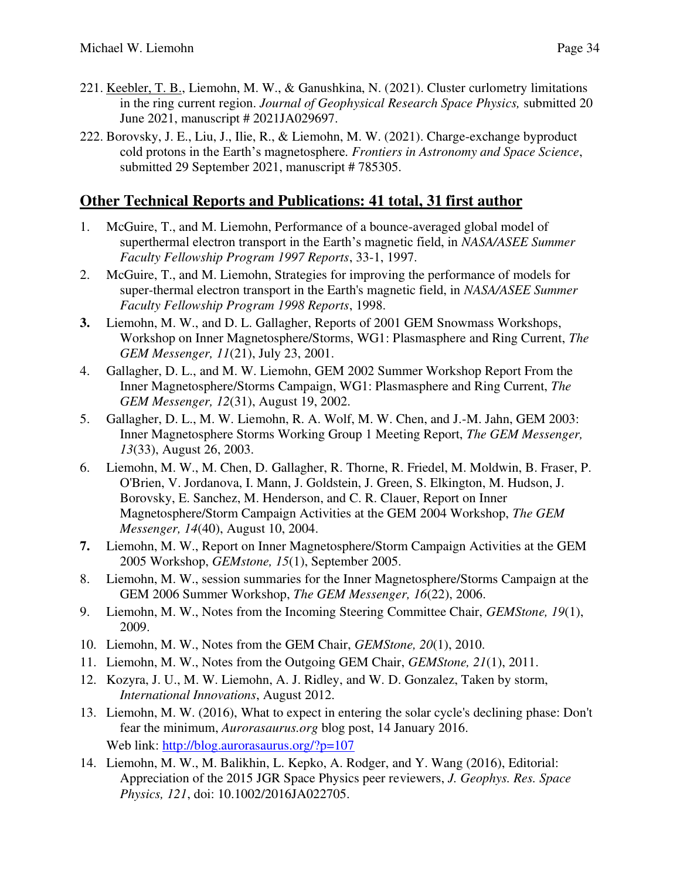- 221. Keebler, T. B., Liemohn, M. W., & Ganushkina, N. (2021). Cluster curlometry limitations in the ring current region. *Journal of Geophysical Research Space Physics,* submitted 20 June 2021, manuscript # 2021JA029697.
- 222. Borovsky, J. E., Liu, J., Ilie, R., & Liemohn, M. W. (2021). Charge-exchange byproduct cold protons in the Earth's magnetosphere. *Frontiers in Astronomy and Space Science*, submitted 29 September 2021, manuscript # 785305.

### **Other Technical Reports and Publications: 41 total, 31 first author**

- 1. McGuire, T., and M. Liemohn, Performance of a bounce-averaged global model of superthermal electron transport in the Earth's magnetic field, in *NASA/ASEE Summer Faculty Fellowship Program 1997 Reports*, 33-1, 1997.
- 2. McGuire, T., and M. Liemohn, Strategies for improving the performance of models for super-thermal electron transport in the Earth's magnetic field, in *NASA/ASEE Summer Faculty Fellowship Program 1998 Reports*, 1998.
- **3.** Liemohn, M. W., and D. L. Gallagher, Reports of 2001 GEM Snowmass Workshops, Workshop on Inner Magnetosphere/Storms, WG1: Plasmasphere and Ring Current, *The GEM Messenger, 11*(21), July 23, 2001.
- 4. Gallagher, D. L., and M. W. Liemohn, GEM 2002 Summer Workshop Report From the Inner Magnetosphere/Storms Campaign, WG1: Plasmasphere and Ring Current, *The GEM Messenger, 12*(31), August 19, 2002.
- 5. Gallagher, D. L., M. W. Liemohn, R. A. Wolf, M. W. Chen, and J.-M. Jahn, GEM 2003: Inner Magnetosphere Storms Working Group 1 Meeting Report, *The GEM Messenger, 13*(33), August 26, 2003.
- 6. Liemohn, M. W., M. Chen, D. Gallagher, R. Thorne, R. Friedel, M. Moldwin, B. Fraser, P. O'Brien, V. Jordanova, I. Mann, J. Goldstein, J. Green, S. Elkington, M. Hudson, J. Borovsky, E. Sanchez, M. Henderson, and C. R. Clauer, Report on Inner Magnetosphere/Storm Campaign Activities at the GEM 2004 Workshop, *The GEM Messenger, 14*(40), August 10, 2004.
- **7.** Liemohn, M. W., Report on Inner Magnetosphere/Storm Campaign Activities at the GEM 2005 Workshop, *GEMstone, 15*(1), September 2005.
- 8. Liemohn, M. W., session summaries for the Inner Magnetosphere/Storms Campaign at the GEM 2006 Summer Workshop, *The GEM Messenger, 16*(22), 2006.
- 9. Liemohn, M. W., Notes from the Incoming Steering Committee Chair, *GEMStone, 19*(1), 2009.
- 10. Liemohn, M. W., Notes from the GEM Chair, *GEMStone, 20*(1), 2010.
- 11. Liemohn, M. W., Notes from the Outgoing GEM Chair, *GEMStone, 21*(1), 2011.
- 12. Kozyra, J. U., M. W. Liemohn, A. J. Ridley, and W. D. Gonzalez, Taken by storm, *International Innovations*, August 2012.
- 13. Liemohn, M. W. (2016), What to expect in entering the solar cycle's declining phase: Don't fear the minimum, *Aurorasaurus.org* blog post, 14 January 2016. Web link:<http://blog.aurorasaurus.org/?p=107>
- 14. Liemohn, M. W., M. Balikhin, L. Kepko, A. Rodger, and Y. Wang (2016), Editorial: Appreciation of the 2015 JGR Space Physics peer reviewers, *J. Geophys. Res. Space Physics, 121*, doi: 10.1002/2016JA022705.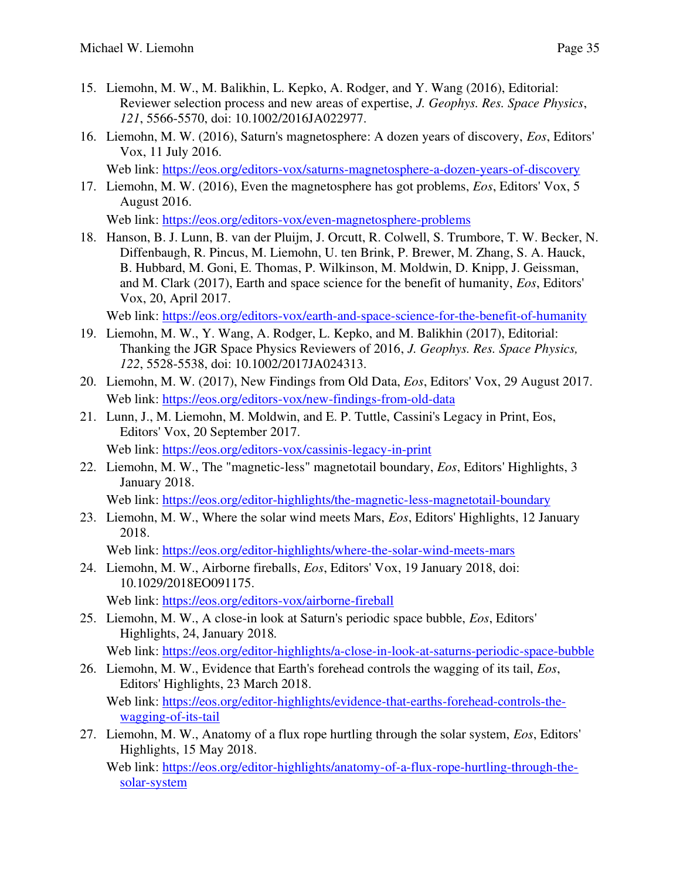- 15. Liemohn, M. W., M. Balikhin, L. Kepko, A. Rodger, and Y. Wang (2016), Editorial: Reviewer selection process and new areas of expertise, *J. Geophys. Res. Space Physics*, *121*, 5566-5570, doi: 10.1002/2016JA022977.
- 16. Liemohn, M. W. (2016), Saturn's magnetosphere: A dozen years of discovery, *Eos*, Editors' Vox, 11 July 2016.

Web link:<https://eos.org/editors-vox/saturns-magnetosphere-a-dozen-years-of-discovery>

17. Liemohn, M. W. (2016), Even the magnetosphere has got problems, *Eos*, Editors' Vox, 5 August 2016.

Web link:<https://eos.org/editors-vox/even-magnetosphere-problems>

18. Hanson, B. J. Lunn, B. van der Pluijm, J. Orcutt, R. Colwell, S. Trumbore, T. W. Becker, N. Diffenbaugh, R. Pincus, M. Liemohn, U. ten Brink, P. Brewer, M. Zhang, S. A. Hauck, B. Hubbard, M. Goni, E. Thomas, P. Wilkinson, M. Moldwin, D. Knipp, J. Geissman, and M. Clark (2017), Earth and space science for the benefit of humanity, *Eos*, Editors' Vox, 20, April 2017.

Web link:<https://eos.org/editors-vox/earth-and-space-science-for-the-benefit-of-humanity>

- 19. Liemohn, M. W., Y. Wang, A. Rodger, L. Kepko, and M. Balikhin (2017), Editorial: Thanking the JGR Space Physics Reviewers of 2016, *J. Geophys. Res. Space Physics, 122*, 5528-5538, doi: 10.1002/2017JA024313.
- 20. Liemohn, M. W. (2017), New Findings from Old Data, *Eos*, Editors' Vox, 29 August 2017. Web link:<https://eos.org/editors-vox/new-findings-from-old-data>
- 21. Lunn, J., M. Liemohn, M. Moldwin, and E. P. Tuttle, Cassini's Legacy in Print, Eos, Editors' Vox, 20 September 2017. Web link:<https://eos.org/editors-vox/cassinis-legacy-in-print>
- 22. Liemohn, M. W., The "magnetic-less" magnetotail boundary, *Eos*, Editors' Highlights, 3 January 2018.

Web link:<https://eos.org/editor-highlights/the-magnetic-less-magnetotail-boundary>

23. Liemohn, M. W., Where the solar wind meets Mars, *Eos*, Editors' Highlights, 12 January 2018.

Web link: https://eos.org/editor-highlights/where-the-solar-wind-meets-mars

- 24. Liemohn, M. W., Airborne fireballs, *Eos*, Editors' Vox, 19 January 2018, doi: 10.1029/2018EO091175. Web link:<https://eos.org/editors-vox/airborne-fireball>
- 25. Liemohn, M. W., A close-in look at Saturn's periodic space bubble, *Eos*, Editors' Highlights, 24, January 2018*.*

Web link: https://eos.org/editor-highlights/a-close-in-look-at-saturns-periodic-space-bubble

26. Liemohn, M. W., Evidence that Earth's forehead controls the wagging of its tail, *Eos*, Editors' Highlights, 23 March 2018.

 Web link: [https://eos.org/editor-highlights/evidence-that-earths-forehead-controls-the](https://eos.org/editor-highlights/evidence-that-earths-forehead-controls-the-wagging-of-its-tail)[wagging-of-its-tail](https://eos.org/editor-highlights/evidence-that-earths-forehead-controls-the-wagging-of-its-tail) 

27. Liemohn, M. W., Anatomy of a flux rope hurtling through the solar system, *Eos*, Editors' Highlights, 15 May 2018.

 Web link: [https://eos.org/editor-highlights/anatomy-of-a-flux-rope-hurtling-through-the](https://eos.org/editor-highlights/anatomy-of-a-flux-rope-hurtling-through-the-solar-system)[solar-system](https://eos.org/editor-highlights/anatomy-of-a-flux-rope-hurtling-through-the-solar-system)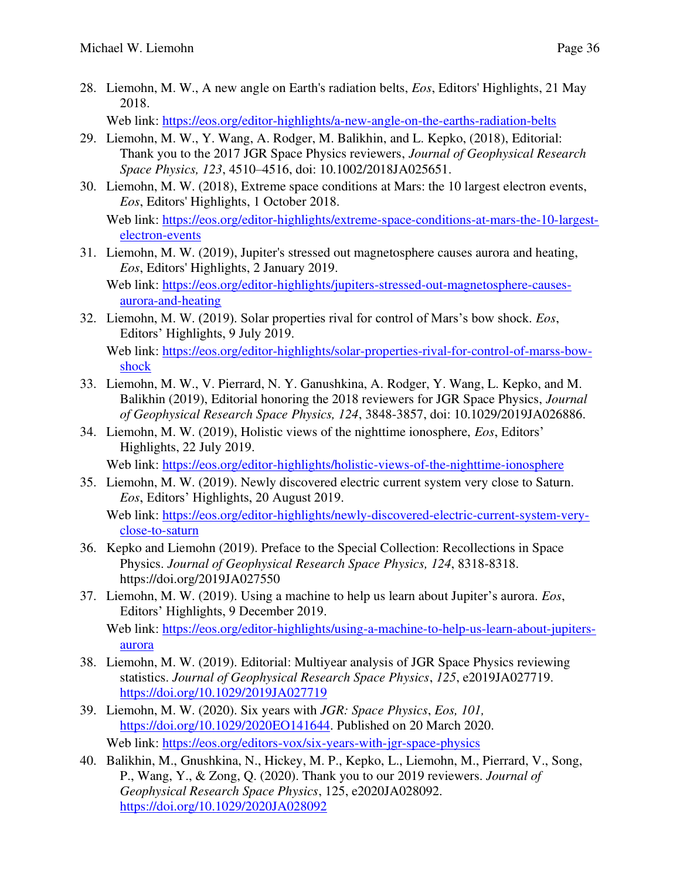28. Liemohn, M. W., A new angle on Earth's radiation belts, *Eos*, Editors' Highlights, 21 May 2018.

Web link:<https://eos.org/editor-highlights/a-new-angle-on-the-earths-radiation-belts>

- 29. Liemohn, M. W., Y. Wang, A. Rodger, M. Balikhin, and L. Kepko, (2018), Editorial: Thank you to the 2017 JGR Space Physics reviewers, *Journal of Geophysical Research Space Physics, 123*, 4510–4516, doi: 10.1002/2018JA025651.
- 30. Liemohn, M. W. (2018), Extreme space conditions at Mars: the 10 largest electron events, *Eos*, Editors' Highlights, 1 October 2018.

Web link: [https://eos.org/editor-highlights/extreme-space-conditions-at-mars-the-10-largest](https://eos.org/editor-highlights/extreme-space-conditions-at-mars-the-10-largest-electron-events)[electron-events](https://eos.org/editor-highlights/extreme-space-conditions-at-mars-the-10-largest-electron-events) 

- 31. Liemohn, M. W. (2019), Jupiter's stressed out magnetosphere causes aurora and heating, *Eos*, Editors' Highlights, 2 January 2019. Web link: [https://eos.org/editor-highlights/jupiters-stressed-out-magnetosphere-causes](https://eos.org/editor-highlights/jupiters-stressed-out-magnetosphere-causes-aurora-and-heating)[aurora-and-heating](https://eos.org/editor-highlights/jupiters-stressed-out-magnetosphere-causes-aurora-and-heating)
- 32. Liemohn, M. W. (2019). Solar properties rival for control of Mars's bow shock. *Eos*, Editors' Highlights, 9 July 2019.

Web link: [https://eos.org/editor-highlights/solar-properties-rival-for-control-of-marss-bow](https://eos.org/editor-highlights/solar-properties-rival-for-control-of-marss-bow-shock)[shock](https://eos.org/editor-highlights/solar-properties-rival-for-control-of-marss-bow-shock) 

- 33. Liemohn, M. W., V. Pierrard, N. Y. Ganushkina, A. Rodger, Y. Wang, L. Kepko, and M. Balikhin (2019), Editorial honoring the 2018 reviewers for JGR Space Physics, *Journal of Geophysical Research Space Physics, 124*, 3848-3857, doi: 10.1029/2019JA026886.
- 34. Liemohn, M. W. (2019), Holistic views of the nighttime ionosphere, *Eos*, Editors' Highlights, 22 July 2019.

Web link: https://eos.org/editor-highlights/holistic-views-of-the-nighttime-ionosphere

35. Liemohn, M. W. (2019). Newly discovered electric current system very close to Saturn. *Eos*, Editors' Highlights, 20 August 2019.

 Web link: [https://eos.org/editor-highlights/newly-discovered-electric-current-system-very](https://eos.org/editor-highlights/newly-discovered-electric-current-system-very-close-to-saturn)[close-to-saturn](https://eos.org/editor-highlights/newly-discovered-electric-current-system-very-close-to-saturn) 

- 36. Kepko and Liemohn (2019). Preface to the Special Collection: Recollections in Space Physics. *Journal of Geophysical Research Space Physics, 124*, 8318-8318. https://doi.org/2019JA027550
- 37. Liemohn, M. W. (2019). Using a machine to help us learn about Jupiter's aurora. *Eos*, Editors' Highlights, 9 December 2019. Web link: [https://eos.org/editor-highlights/using-a-machine-to-help-us-learn-about-jupiters](https://eos.org/editor-highlights/using-a-machine-to-help-us-learn-about-jupiters-aurora)[aurora](https://eos.org/editor-highlights/using-a-machine-to-help-us-learn-about-jupiters-aurora)
- 38. Liemohn, M. W. (2019). Editorial: Multiyear analysis of JGR Space Physics reviewing statistics. *Journal of Geophysical Research Space Physics*, *125*, e2019JA027719. <https://doi.org/10.1029/2019JA027719>
- 39. Liemohn, M. W. (2020). Six years with *JGR: Space Physics*, *Eos, 101,* [https://doi.org/10.1029/2020EO141644.](https://doi.org/10.1029/2020EO141644) Published on 20 March 2020. Web link:<https://eos.org/editors-vox/six-years-with-jgr-space-physics>
- 40. Balikhin, M., Gnushkina, N., Hickey, M. P., Kepko, L., Liemohn, M., Pierrard, V., Song, P., Wang, Y., & Zong, Q. (2020). Thank you to our 2019 reviewers. *Journal of Geophysical Research Space Physics*, 125, e2020JA028092. <https://doi.org/10.1029/2020JA028092>